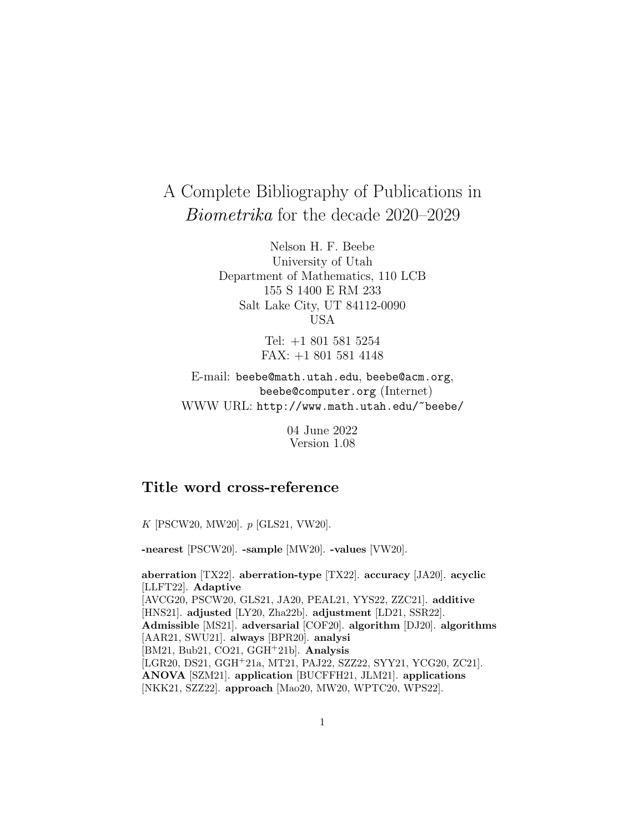# A Complete Bibliography of Publications in Biometrika for the decade 2020–2029

Nelson H. F. Beebe University of Utah Department of Mathematics, 110 LCB 155 S 1400 E RM 233 Salt Lake City, UT 84112-0090 USA

> Tel: +1 801 581 5254 FAX: +1 801 581 4148

E-mail: beebe@math.utah.edu, beebe@acm.org, beebe@computer.org (Internet) WWW URL: http://www.math.utah.edu/~beebe/

> 04 June 2022 Version 1.08

# **Title word cross-reference**

K [PSCW20, MW20]. p [GLS21, VW20].

**-nearest** [PSCW20]. **-sample** [MW20]. **-values** [VW20].

**aberration** [TX22]. **aberration-type** [TX22]. **accuracy** [JA20]. **acyclic** [LLFT22]. **Adaptive** [AVCG20, PSCW20, GLS21, JA20, PEAL21, YYS22, ZZC21]. **additive** [HNS21]. **adjusted** [LY20, Zha22b]. **adjustment** [LD21, SSR22]. **Admissible** [MS21]. **adversarial** [COF20]. **algorithm** [DJ20]. **algorithms** [AAR21, SWU21]. **always** [BPR20]. **analysi** [BM21, Bub21, CO21, GGH<sup>+</sup>21b]. **Analysis** [LGR20, DS21, GGH<sup>+</sup>21a, MT21, PAJ22, SZZ22, SYY21, YCG20, ZC21]. **ANOVA** [SZM21]. **application** [BUCFFH21, JLM21]. **applications** [NKK21, SZZ22]. **approach** [Mao20, MW20, WPTC20, WPS22].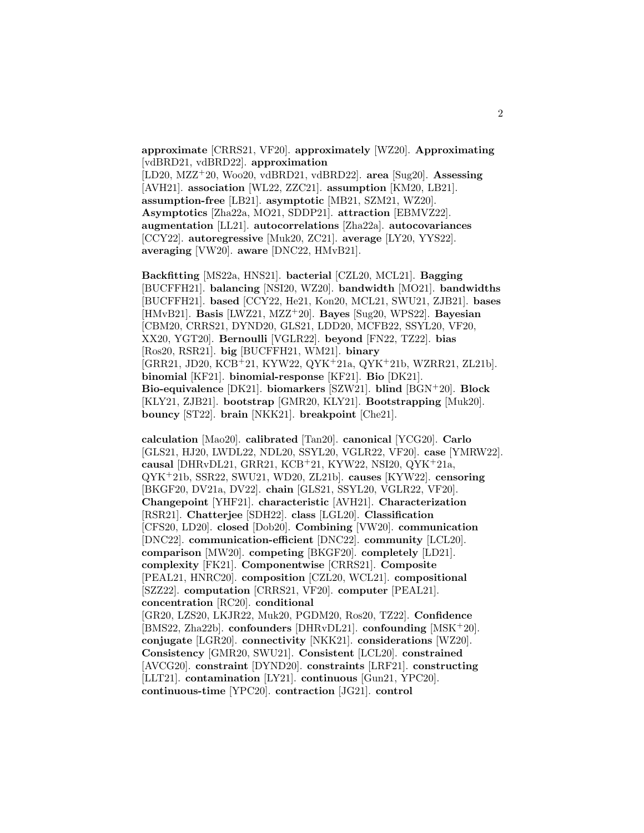**approximate** [CRRS21, VF20]. **approximately** [WZ20]. **Approximating** [vdBRD21, vdBRD22]. **approximation**

[LD20, MZZ<sup>+</sup>20, Woo20, vdBRD21, vdBRD22]. **area** [Sug20]. **Assessing** [AVH21]. **association** [WL22, ZZC21]. **assumption** [KM20, LB21]. **assumption-free** [LB21]. **asymptotic** [MB21, SZM21, WZ20]. **Asymptotics** [Zha22a, MO21, SDDP21]. **attraction** [EBMVZ22]. **augmentation** [LL21]. **autocorrelations** [Zha22a]. **autocovariances** [CCY22]. **autoregressive** [Muk20, ZC21]. **average** [LY20, YYS22]. **averaging** [VW20]. **aware** [DNC22, HMvB21].

**Backfitting** [MS22a, HNS21]. **bacterial** [CZL20, MCL21]. **Bagging** [BUCFFH21]. **balancing** [NSI20, WZ20]. **bandwidth** [MO21]. **bandwidths** [BUCFFH21]. **based** [CCY22, He21, Kon20, MCL21, SWU21, ZJB21]. **bases** [HMvB21]. **Basis** [LWZ21, MZZ<sup>+</sup>20]. **Bayes** [Sug20, WPS22]. **Bayesian** [CBM20, CRRS21, DYND20, GLS21, LDD20, MCFB22, SSYL20, VF20, XX20, YGT20]. **Bernoulli** [VGLR22]. **beyond** [FN22, TZ22]. **bias** [Ros20, RSR21]. **big** [BUCFFH21, WM21]. **binary** [GRR21, JD20, KCB<sup>+</sup>21, KYW22, QYK<sup>+</sup>21a, QYK<sup>+</sup>21b, WZRR21, ZL21b]. **binomial** [KF21]. **binomial-response** [KF21]. **Bio** [DK21]. **Bio-equivalence** [DK21]. **biomarkers** [SZW21]. **blind** [BGN<sup>+</sup>20]. **Block** [KLY21, ZJB21]. **bootstrap** [GMR20, KLY21]. **Bootstrapping** [Muk20]. **bouncy** [ST22]. **brain** [NKK21]. **breakpoint** [Che21].

**calculation** [Mao20]. **calibrated** [Tan20]. **canonical** [YCG20]. **Carlo** [GLS21, HJ20, LWDL22, NDL20, SSYL20, VGLR22, VF20]. **case** [YMRW22]. **causal** [DHRvDL21, GRR21, KCB<sup>+</sup>21, KYW22, NSI20, QYK<sup>+</sup>21a, QYK<sup>+</sup>21b, SSR22, SWU21, WD20, ZL21b]. **causes** [KYW22]. **censoring** [BKGF20, DV21a, DV22]. **chain** [GLS21, SSYL20, VGLR22, VF20]. **Changepoint** [YHF21]. **characteristic** [AVH21]. **Characterization** [RSR21]. **Chatterjee** [SDH22]. **class** [LGL20]. **Classification** [CFS20, LD20]. **closed** [Dob20]. **Combining** [VW20]. **communication** [DNC22]. **communication-efficient** [DNC22]. **community** [LCL20]. **comparison** [MW20]. **competing** [BKGF20]. **completely** [LD21]. **complexity** [FK21]. **Componentwise** [CRRS21]. **Composite** [PEAL21, HNRC20]. **composition** [CZL20, WCL21]. **compositional** [SZZ22]. **computation** [CRRS21, VF20]. **computer** [PEAL21]. **concentration** [RC20]. **conditional** [GR20, LZS20, LKJR22, Muk20, PGDM20, Ros20, TZ22]. **Confidence** [BMS22, Zha22b]. **confounders** [DHRvDL21]. **confounding** [MSK<sup>+</sup>20]. **conjugate** [LGR20]. **connectivity** [NKK21]. **considerations** [WZ20]. **Consistency** [GMR20, SWU21]. **Consistent** [LCL20]. **constrained** [AVCG20]. **constraint** [DYND20]. **constraints** [LRF21]. **constructing** [LLT21]. **contamination** [LY21]. **continuous** [Gun21, YPC20]. **continuous-time** [YPC20]. **contraction** [JG21]. **control**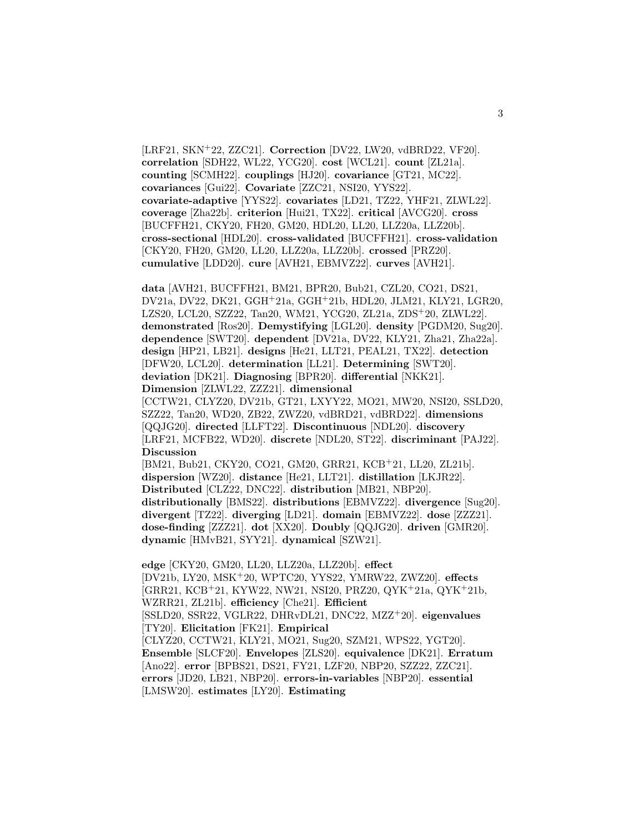[LRF21, SKN<sup>+</sup>22, ZZC21]. **Correction** [DV22, LW20, vdBRD22, VF20]. **correlation** [SDH22, WL22, YCG20]. **cost** [WCL21]. **count** [ZL21a]. **counting** [SCMH22]. **couplings** [HJ20]. **covariance** [GT21, MC22]. **covariances** [Gui22]. **Covariate** [ZZC21, NSI20, YYS22]. **covariate-adaptive** [YYS22]. **covariates** [LD21, TZ22, YHF21, ZLWL22]. **coverage** [Zha22b]. **criterion** [Hui21, TX22]. **critical** [AVCG20]. **cross** [BUCFFH21, CKY20, FH20, GM20, HDL20, LL20, LLZ20a, LLZ20b]. **cross-sectional** [HDL20]. **cross-validated** [BUCFFH21]. **cross-validation** [CKY20, FH20, GM20, LL20, LLZ20a, LLZ20b]. **crossed** [PRZ20]. **cumulative** [LDD20]. **cure** [AVH21, EBMVZ22]. **curves** [AVH21].

**data** [AVH21, BUCFFH21, BM21, BPR20, Bub21, CZL20, CO21, DS21, DV21a, DV22, DK21, GGH<sup>+</sup>21a, GGH<sup>+</sup>21b, HDL20, JLM21, KLY21, LGR20, LZS20, LCL20, SZZ22, Tan20, WM21, YCG20, ZL21a, ZDS<sup>+</sup>20, ZLWL22]. **demonstrated** [Ros20]. **Demystifying** [LGL20]. **density** [PGDM20, Sug20]. **dependence** [SWT20]. **dependent** [DV21a, DV22, KLY21, Zha21, Zha22a]. **design** [HP21, LB21]. **designs** [He21, LLT21, PEAL21, TX22]. **detection** [DFW20, LCL20]. **determination** [LL21]. **Determining** [SWT20]. **deviation** [DK21]. **Diagnosing** [BPR20]. **differential** [NKK21]. **Dimension** [ZLWL22, ZZZ21]. **dimensional**

[CCTW21, CLYZ20, DV21b, GT21, LXYY22, MO21, MW20, NSI20, SSLD20, SZZ22, Tan20, WD20, ZB22, ZWZ20, vdBRD21, vdBRD22]. **dimensions** [QQJG20]. **directed** [LLFT22]. **Discontinuous** [NDL20]. **discovery** [LRF21, MCFB22, WD20]. **discrete** [NDL20, ST22]. **discriminant** [PAJ22]. **Discussion**

[BM21, Bub21, CKY20, CO21, GM20, GRR21, KCB<sup>+</sup>21, LL20, ZL21b]. **dispersion** [WZ20]. **distance** [He21, LLT21]. **distillation** [LKJR22]. **Distributed** [CLZ22, DNC22]. **distribution** [MB21, NBP20]. **distributionally** [BMS22]. **distributions** [EBMVZ22]. **divergence** [Sug20]. **divergent** [TZ22]. **diverging** [LD21]. **domain** [EBMVZ22]. **dose** [ZZZ21]. **dose-finding** [ZZZ21]. **dot** [XX20]. **Doubly** [QQJG20]. **driven** [GMR20]. **dynamic** [HMvB21, SYY21]. **dynamical** [SZW21].

**edge** [CKY20, GM20, LL20, LLZ20a, LLZ20b]. **effect** [DV21b, LY20, MSK<sup>+</sup>20, WPTC20, YYS22, YMRW22, ZWZ20]. **effects** [GRR21, KCB<sup>+</sup>21, KYW22, NW21, NSI20, PRZ20, QYK<sup>+</sup>21a, QYK<sup>+</sup>21b, WZRR21, ZL21b]. **efficiency** [Che21]. **Efficient** [SSLD20, SSR22, VGLR22, DHRvDL21, DNC22, MZZ<sup>+</sup>20]. **eigenvalues** [TY20]. **Elicitation** [FK21]. **Empirical** [CLYZ20, CCTW21, KLY21, MO21, Sug20, SZM21, WPS22, YGT20]. **Ensemble** [SLCF20]. **Envelopes** [ZLS20]. **equivalence** [DK21]. **Erratum** [Ano22]. **error** [BPBS21, DS21, FY21, LZF20, NBP20, SZZ22, ZZC21]. **errors** [JD20, LB21, NBP20]. **errors-in-variables** [NBP20]. **essential** [LMSW20]. **estimates** [LY20]. **Estimating**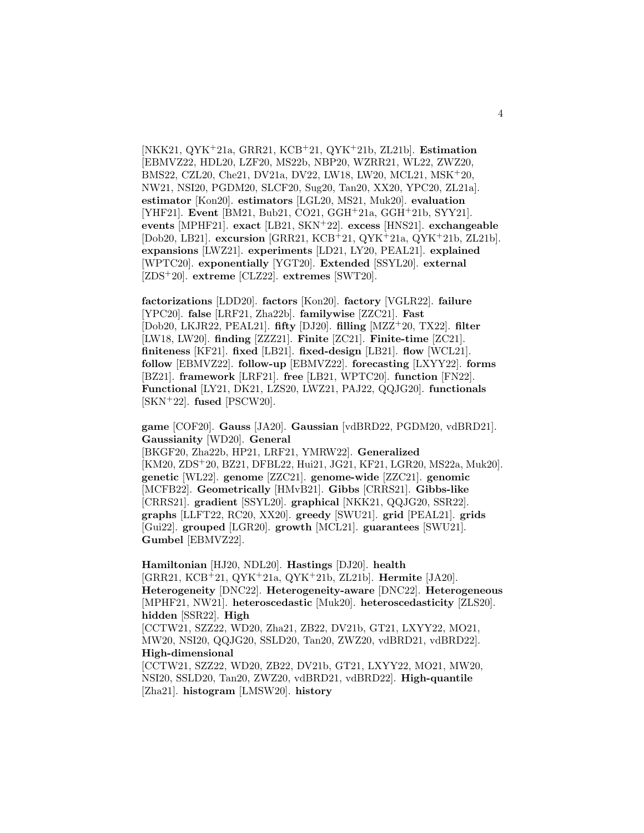[NKK21, QYK<sup>+</sup>21a, GRR21, KCB<sup>+</sup>21, QYK<sup>+</sup>21b, ZL21b]. **Estimation** [EBMVZ22, HDL20, LZF20, MS22b, NBP20, WZRR21, WL22, ZWZ20, BMS22, CZL20, Che21, DV21a, DV22, LW18, LW20, MCL21, MSK<sup>+</sup>20, NW21, NSI20, PGDM20, SLCF20, Sug20, Tan20, XX20, YPC20, ZL21a]. **estimator** [Kon20]. **estimators** [LGL20, MS21, Muk20]. **evaluation** [YHF21]. **Event** [BM21, Bub21, CO21, GGH<sup>+</sup>21a, GGH<sup>+</sup>21b, SYY21]. **events** [MPHF21]. **exact** [LB21, SKN<sup>+</sup>22]. **excess** [HNS21]. **exchangeable** [Dob20, LB21]. **excursion** [GRR21, KCB<sup>+</sup>21, QYK<sup>+</sup>21a, QYK<sup>+</sup>21b, ZL21b]. **expansions** [LWZ21]. **experiments** [LD21, LY20, PEAL21]. **explained** [WPTC20]. **exponentially** [YGT20]. **Extended** [SSYL20]. **external** [ZDS<sup>+</sup>20]. **extreme** [CLZ22]. **extremes** [SWT20].

**factorizations** [LDD20]. **factors** [Kon20]. **factory** [VGLR22]. **failure** [YPC20]. **false** [LRF21, Zha22b]. **familywise** [ZZC21]. **Fast** [Dob20, LKJR22, PEAL21]. **fifty** [DJ20]. **filling** [MZZ<sup>+</sup>20, TX22]. **filter** [LW18, LW20]. **finding** [ZZZ21]. **Finite** [ZC21]. **Finite-time** [ZC21]. **finiteness** [KF21]. **fixed** [LB21]. **fixed-design** [LB21]. **flow** [WCL21]. **follow** [EBMVZ22]. **follow-up** [EBMVZ22]. **forecasting** [LXYY22]. **forms** [BZ21]. **framework** [LRF21]. **free** [LB21, WPTC20]. **function** [FN22]. **Functional** [LY21, DK21, LZS20, LWZ21, PAJ22, QQJG20]. **functionals** [SKN<sup>+</sup>22]. **fused** [PSCW20].

**game** [COF20]. **Gauss** [JA20]. **Gaussian** [vdBRD22, PGDM20, vdBRD21]. **Gaussianity** [WD20]. **General**

[BKGF20, Zha22b, HP21, LRF21, YMRW22]. **Generalized** [KM20, ZDS<sup>+</sup>20, BZ21, DFBL22, Hui21, JG21, KF21, LGR20, MS22a, Muk20]. **genetic** [WL22]. **genome** [ZZC21]. **genome-wide** [ZZC21]. **genomic** [MCFB22]. **Geometrically** [HMvB21]. **Gibbs** [CRRS21]. **Gibbs-like** [CRRS21]. **gradient** [SSYL20]. **graphical** [NKK21, QQJG20, SSR22]. **graphs** [LLFT22, RC20, XX20]. **greedy** [SWU21]. **grid** [PEAL21]. **grids** [Gui22]. **grouped** [LGR20]. **growth** [MCL21]. **guarantees** [SWU21]. **Gumbel** [EBMVZ22].

**Hamiltonian** [HJ20, NDL20]. **Hastings** [DJ20]. **health** [GRR21, KCB<sup>+</sup>21, QYK<sup>+</sup>21a, QYK<sup>+</sup>21b, ZL21b]. **Hermite** [JA20]. **Heterogeneity** [DNC22]. **Heterogeneity-aware** [DNC22]. **Heterogeneous** [MPHF21, NW21]. **heteroscedastic** [Muk20]. **heteroscedasticity** [ZLS20]. **hidden** [SSR22]. **High** [CCTW21, SZZ22, WD20, Zha21, ZB22, DV21b, GT21, LXYY22, MO21, MW20, NSI20, QQJG20, SSLD20, Tan20, ZWZ20, vdBRD21, vdBRD22]. **High-dimensional** [CCTW21, SZZ22, WD20, ZB22, DV21b, GT21, LXYY22, MO21, MW20, NSI20, SSLD20, Tan20, ZWZ20, vdBRD21, vdBRD22]. **High-quantile** [Zha21]. **histogram** [LMSW20]. **history**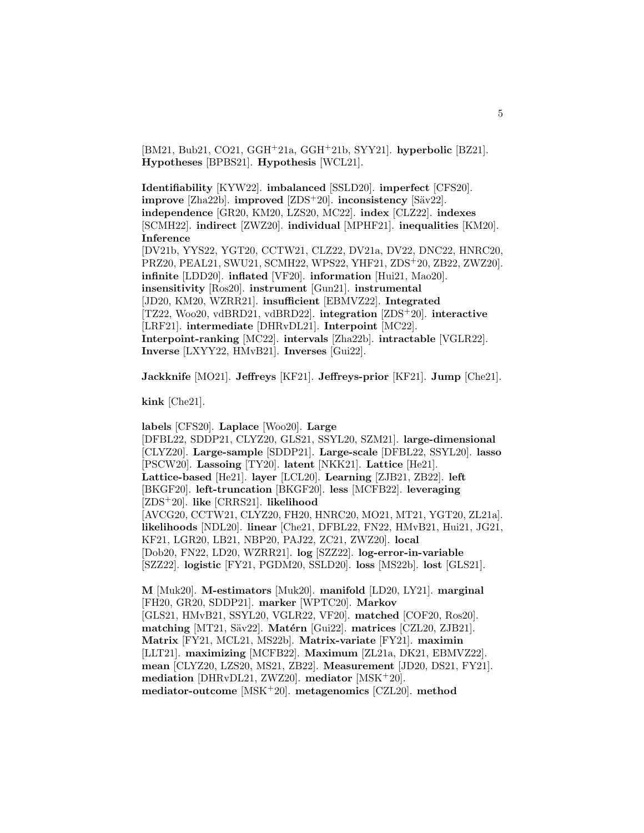[BM21, Bub21, CO21, GGH<sup>+</sup>21a, GGH<sup>+</sup>21b, SYY21]. **hyperbolic** [BZ21]. **Hypotheses** [BPBS21]. **Hypothesis** [WCL21].

**Identifiability** [KYW22]. **imbalanced** [SSLD20]. **imperfect** [CFS20]. **improve** [Zha22b]. **improved** [ZDS<sup>+</sup>20]. **inconsistency** [Säv22]. **independence** [GR20, KM20, LZS20, MC22]. **index** [CLZ22]. **indexes** [SCMH22]. **indirect** [ZWZ20]. **individual** [MPHF21]. **inequalities** [KM20]. **Inference** [DV21b, YYS22, YGT20, CCTW21, CLZ22, DV21a, DV22, DNC22, HNRC20,

PRZ20, PEAL21, SWU21, SCMH22, WPS22, YHF21, ZDS<sup>+</sup>20, ZB22, ZWZ20]. **infinite** [LDD20]. **inflated** [VF20]. **information** [Hui21, Mao20]. **insensitivity** [Ros20]. **instrument** [Gun21]. **instrumental** [JD20, KM20, WZRR21]. **insufficient** [EBMVZ22]. **Integrated** [TZ22, Woo20, vdBRD21, vdBRD22]. **integration** [ZDS<sup>+</sup>20]. **interactive** [LRF21]. **intermediate** [DHRvDL21]. **Interpoint** [MC22]. **Interpoint-ranking** [MC22]. **intervals** [Zha22b]. **intractable** [VGLR22]. **Inverse** [LXYY22, HMvB21]. **Inverses** [Gui22].

**Jackknife** [MO21]. **Jeffreys** [KF21]. **Jeffreys-prior** [KF21]. **Jump** [Che21].

**kink** [Che21].

**labels** [CFS20]. **Laplace** [Woo20]. **Large** [DFBL22, SDDP21, CLYZ20, GLS21, SSYL20, SZM21]. **large-dimensional** [CLYZ20]. **Large-sample** [SDDP21]. **Large-scale** [DFBL22, SSYL20]. **lasso** [PSCW20]. **Lassoing** [TY20]. **latent** [NKK21]. **Lattice** [He21]. **Lattice-based** [He21]. **layer** [LCL20]. **Learning** [ZJB21, ZB22]. **left** [BKGF20]. **left-truncation** [BKGF20]. **less** [MCFB22]. **leveraging** [ZDS<sup>+</sup>20]. **like** [CRRS21]. **likelihood** [AVCG20, CCTW21, CLYZ20, FH20, HNRC20, MO21, MT21, YGT20, ZL21a]. **likelihoods** [NDL20]. **linear** [Che21, DFBL22, FN22, HMvB21, Hui21, JG21, KF21, LGR20, LB21, NBP20, PAJ22, ZC21, ZWZ20]. **local** [Dob20, FN22, LD20, WZRR21]. **log** [SZZ22]. **log-error-in-variable** [SZZ22]. **logistic** [FY21, PGDM20, SSLD20]. **loss** [MS22b]. **lost** [GLS21].

**M** [Muk20]. **M-estimators** [Muk20]. **manifold** [LD20, LY21]. **marginal** [FH20, GR20, SDDP21]. **marker** [WPTC20]. **Markov** [GLS21, HMvB21, SSYL20, VGLR22, VF20]. **matched** [COF20, Ros20]. **matching** [MT21, Säv22]. **Matérn** [Gui22]. **matrices** [CZL20, ZJB21]. **Matrix** [FY21, MCL21, MS22b]. **Matrix-variate** [FY21]. **maximin** [LLT21]. **maximizing** [MCFB22]. **Maximum** [ZL21a, DK21, EBMVZ22]. **mean** [CLYZ20, LZS20, MS21, ZB22]. **Measurement** [JD20, DS21, FY21]. **mediation** [DHRvDL21, ZWZ20]. **mediator** [MSK<sup>+</sup>20]. **mediator-outcome** [MSK<sup>+</sup>20]. **metagenomics** [CZL20]. **method**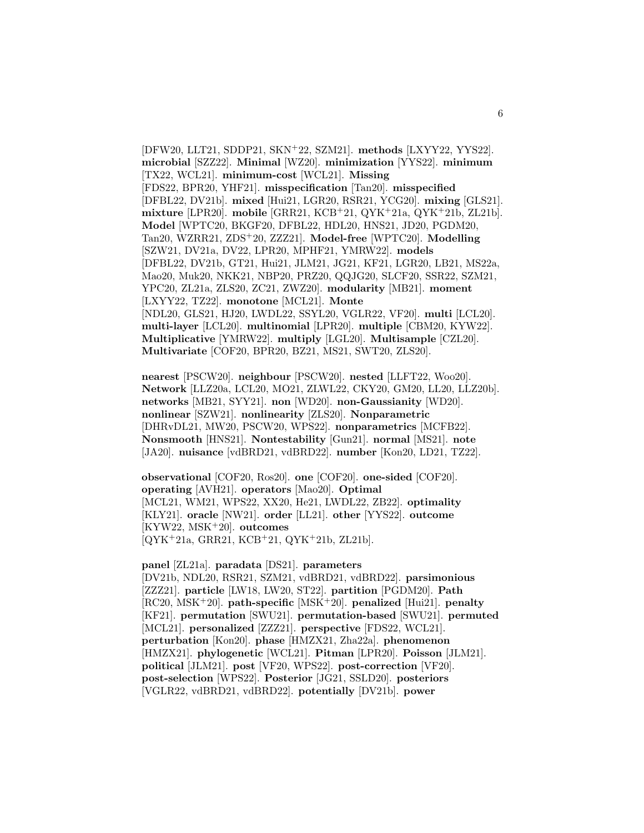[DFW20, LLT21, SDDP21, SKN<sup>+</sup>22, SZM21]. **methods** [LXYY22, YYS22]. **microbial** [SZZ22]. **Minimal** [WZ20]. **minimization** [YYS22]. **minimum** [TX22, WCL21]. **minimum-cost** [WCL21]. **Missing** [FDS22, BPR20, YHF21]. **misspecification** [Tan20]. **misspecified** [DFBL22, DV21b]. **mixed** [Hui21, LGR20, RSR21, YCG20]. **mixing** [GLS21]. **mixture** [LPR20]. **mobile** [GRR21, KCB<sup>+</sup>21, QYK<sup>+</sup>21a, QYK<sup>+</sup>21b, ZL21b]. **Model** [WPTC20, BKGF20, DFBL22, HDL20, HNS21, JD20, PGDM20, Tan20, WZRR21, ZDS<sup>+</sup>20, ZZZ21]. **Model-free** [WPTC20]. **Modelling** [SZW21, DV21a, DV22, LPR20, MPHF21, YMRW22]. **models** [DFBL22, DV21b, GT21, Hui21, JLM21, JG21, KF21, LGR20, LB21, MS22a, Mao20, Muk20, NKK21, NBP20, PRZ20, QQJG20, SLCF20, SSR22, SZM21, YPC20, ZL21a, ZLS20, ZC21, ZWZ20]. **modularity** [MB21]. **moment** [LXYY22, TZ22]. **monotone** [MCL21]. **Monte** [NDL20, GLS21, HJ20, LWDL22, SSYL20, VGLR22, VF20]. **multi** [LCL20]. **multi-layer** [LCL20]. **multinomial** [LPR20]. **multiple** [CBM20, KYW22]. **Multiplicative** [YMRW22]. **multiply** [LGL20]. **Multisample** [CZL20]. **Multivariate** [COF20, BPR20, BZ21, MS21, SWT20, ZLS20].

**nearest** [PSCW20]. **neighbour** [PSCW20]. **nested** [LLFT22, Woo20]. **Network** [LLZ20a, LCL20, MO21, ZLWL22, CKY20, GM20, LL20, LLZ20b]. **networks** [MB21, SYY21]. **non** [WD20]. **non-Gaussianity** [WD20]. **nonlinear** [SZW21]. **nonlinearity** [ZLS20]. **Nonparametric** [DHRvDL21, MW20, PSCW20, WPS22]. **nonparametrics** [MCFB22]. **Nonsmooth** [HNS21]. **Nontestability** [Gun21]. **normal** [MS21]. **note** [JA20]. **nuisance** [vdBRD21, vdBRD22]. **number** [Kon20, LD21, TZ22].

**observational** [COF20, Ros20]. **one** [COF20]. **one-sided** [COF20]. **operating** [AVH21]. **operators** [Mao20]. **Optimal** [MCL21, WM21, WPS22, XX20, He21, LWDL22, ZB22]. **optimality** [KLY21]. **oracle** [NW21]. **order** [LL21]. **other** [YYS22]. **outcome** [KYW22, MSK<sup>+</sup>20]. **outcomes** [QYK<sup>+</sup>21a, GRR21, KCB<sup>+</sup>21, QYK<sup>+</sup>21b, ZL21b].

**panel** [ZL21a]. **paradata** [DS21]. **parameters** [DV21b, NDL20, RSR21, SZM21, vdBRD21, vdBRD22]. **parsimonious** [ZZZ21]. **particle** [LW18, LW20, ST22]. **partition** [PGDM20]. **Path** [RC20, MSK<sup>+</sup>20]. **path-specific** [MSK<sup>+</sup>20]. **penalized** [Hui21]. **penalty** [KF21]. **permutation** [SWU21]. **permutation-based** [SWU21]. **permuted** [MCL21]. **personalized** [ZZZ21]. **perspective** [FDS22, WCL21]. **perturbation** [Kon20]. **phase** [HMZX21, Zha22a]. **phenomenon** [HMZX21]. **phylogenetic** [WCL21]. **Pitman** [LPR20]. **Poisson** [JLM21]. **political** [JLM21]. **post** [VF20, WPS22]. **post-correction** [VF20]. **post-selection** [WPS22]. **Posterior** [JG21, SSLD20]. **posteriors** [VGLR22, vdBRD21, vdBRD22]. **potentially** [DV21b]. **power**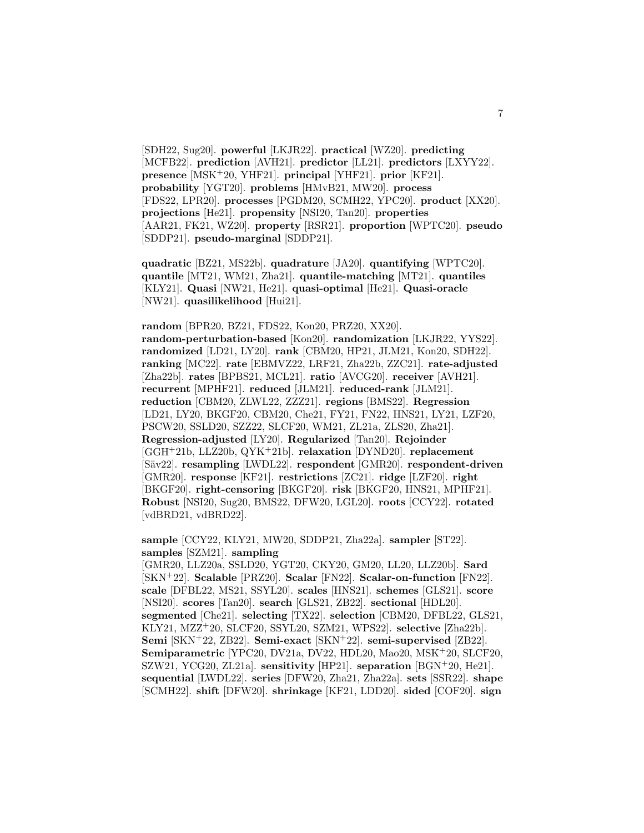[SDH22, Sug20]. **powerful** [LKJR22]. **practical** [WZ20]. **predicting** [MCFB22]. **prediction** [AVH21]. **predictor** [LL21]. **predictors** [LXYY22]. **presence** [MSK<sup>+</sup>20, YHF21]. **principal** [YHF21]. **prior** [KF21]. **probability** [YGT20]. **problems** [HMvB21, MW20]. **process** [FDS22, LPR20]. **processes** [PGDM20, SCMH22, YPC20]. **product** [XX20]. **projections** [He21]. **propensity** [NSI20, Tan20]. **properties** [AAR21, FK21, WZ20]. **property** [RSR21]. **proportion** [WPTC20]. **pseudo** [SDDP21]. **pseudo-marginal** [SDDP21].

**quadratic** [BZ21, MS22b]. **quadrature** [JA20]. **quantifying** [WPTC20]. **quantile** [MT21, WM21, Zha21]. **quantile-matching** [MT21]. **quantiles** [KLY21]. **Quasi** [NW21, He21]. **quasi-optimal** [He21]. **Quasi-oracle** [NW21]. **quasilikelihood** [Hui21].

**random** [BPR20, BZ21, FDS22, Kon20, PRZ20, XX20]. **random-perturbation-based** [Kon20]. **randomization** [LKJR22, YYS22]. **randomized** [LD21, LY20]. **rank** [CBM20, HP21, JLM21, Kon20, SDH22]. **ranking** [MC22]. **rate** [EBMVZ22, LRF21, Zha22b, ZZC21]. **rate-adjusted** [Zha22b]. **rates** [BPBS21, MCL21]. **ratio** [AVCG20]. **receiver** [AVH21]. **recurrent** [MPHF21]. **reduced** [JLM21]. **reduced-rank** [JLM21]. **reduction** [CBM20, ZLWL22, ZZZ21]. **regions** [BMS22]. **Regression** [LD21, LY20, BKGF20, CBM20, Che21, FY21, FN22, HNS21, LY21, LZF20, PSCW20, SSLD20, SZZ22, SLCF20, WM21, ZL21a, ZLS20, Zha21]. **Regression-adjusted** [LY20]. **Regularized** [Tan20]. **Rejoinder** [GGH<sup>+</sup>21b, LLZ20b, QYK<sup>+</sup>21b]. **relaxation** [DYND20]. **replacement** [S¨av22]. **resampling** [LWDL22]. **respondent** [GMR20]. **respondent-driven** [GMR20]. **response** [KF21]. **restrictions** [ZC21]. **ridge** [LZF20]. **right** [BKGF20]. **right-censoring** [BKGF20]. **risk** [BKGF20, HNS21, MPHF21]. **Robust** [NSI20, Sug20, BMS22, DFW20, LGL20]. **roots** [CCY22]. **rotated** [vdBRD21, vdBRD22].

**sample** [CCY22, KLY21, MW20, SDDP21, Zha22a]. **sampler** [ST22]. **samples** [SZM21]. **sampling**

[GMR20, LLZ20a, SSLD20, YGT20, CKY20, GM20, LL20, LLZ20b]. **Sard** [SKN<sup>+</sup>22]. **Scalable** [PRZ20]. **Scalar** [FN22]. **Scalar-on-function** [FN22]. **scale** [DFBL22, MS21, SSYL20]. **scales** [HNS21]. **schemes** [GLS21]. **score** [NSI20]. **scores** [Tan20]. **search** [GLS21, ZB22]. **sectional** [HDL20]. **segmented** [Che21]. **selecting** [TX22]. **selection** [CBM20, DFBL22, GLS21, KLY21, MZZ<sup>+</sup>20, SLCF20, SSYL20, SZM21, WPS22]. **selective** [Zha22b]. **Semi** [SKN<sup>+</sup>22, ZB22]. **Semi-exact** [SKN<sup>+</sup>22]. **semi-supervised** [ZB22]. **Semiparametric** [YPC20, DV21a, DV22, HDL20, Mao20, MSK<sup>+</sup>20, SLCF20, SZW21, YCG20, ZL21a]. **sensitivity** [HP21]. **separation** [BGN<sup>+</sup>20, He21]. **sequential** [LWDL22]. **series** [DFW20, Zha21, Zha22a]. **sets** [SSR22]. **shape** [SCMH22]. **shift** [DFW20]. **shrinkage** [KF21, LDD20]. **sided** [COF20]. **sign**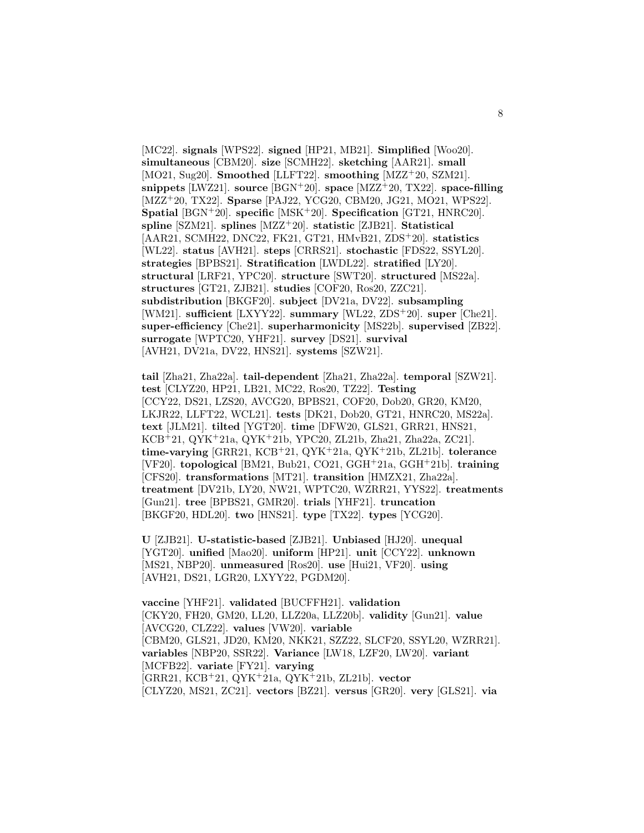[MC22]. **signals** [WPS22]. **signed** [HP21, MB21]. **Simplified** [Woo20]. **simultaneous** [CBM20]. **size** [SCMH22]. **sketching** [AAR21]. **small** [MO21, Sug20]. **Smoothed** [LLFT22]. **smoothing** [MZZ<sup>+</sup>20, SZM21]. **snippets** [LWZ21]. **source** [BGN<sup>+</sup>20]. **space** [MZZ<sup>+</sup>20, TX22]. **space-filling** [MZZ<sup>+</sup>20, TX22]. **Sparse** [PAJ22, YCG20, CBM20, JG21, MO21, WPS22]. **Spatial** [BGN<sup>+</sup>20]. **specific** [MSK<sup>+</sup>20]. **Specification** [GT21, HNRC20]. **spline** [SZM21]. **splines** [MZZ<sup>+</sup>20]. **statistic** [ZJB21]. **Statistical** [AAR21, SCMH22, DNC22, FK21, GT21, HMvB21, ZDS<sup>+</sup>20]. **statistics** [WL22]. **status** [AVH21]. **steps** [CRRS21]. **stochastic** [FDS22, SSYL20]. **strategies** [BPBS21]. **Stratification** [LWDL22]. **stratified** [LY20]. **structural** [LRF21, YPC20]. **structure** [SWT20]. **structured** [MS22a]. **structures** [GT21, ZJB21]. **studies** [COF20, Ros20, ZZC21]. **subdistribution** [BKGF20]. **subject** [DV21a, DV22]. **subsampling** [WM21]. **sufficient** [LXYY22]. **summary** [WL22, ZDS<sup>+</sup>20]. **super** [Che21]. **super-efficiency** [Che21]. **superharmonicity** [MS22b]. **supervised** [ZB22]. **surrogate** [WPTC20, YHF21]. **survey** [DS21]. **survival** [AVH21, DV21a, DV22, HNS21]. **systems** [SZW21].

**tail** [Zha21, Zha22a]. **tail-dependent** [Zha21, Zha22a]. **temporal** [SZW21]. **test** [CLYZ20, HP21, LB21, MC22, Ros20, TZ22]. **Testing** [CCY22, DS21, LZS20, AVCG20, BPBS21, COF20, Dob20, GR20, KM20, LKJR22, LLFT22, WCL21]. **tests** [DK21, Dob20, GT21, HNRC20, MS22a]. **text** [JLM21]. **tilted** [YGT20]. **time** [DFW20, GLS21, GRR21, HNS21, KCB<sup>+</sup>21, QYK<sup>+</sup>21a, QYK<sup>+</sup>21b, YPC20, ZL21b, Zha21, Zha22a, ZC21]. **time-varying** [GRR21, KCB<sup>+</sup>21, QYK<sup>+</sup>21a, QYK<sup>+</sup>21b, ZL21b]. **tolerance** [VF20]. **topological** [BM21, Bub21, CO21, GGH<sup>+</sup>21a, GGH<sup>+</sup>21b]. **training** [CFS20]. **transformations** [MT21]. **transition** [HMZX21, Zha22a]. **treatment** [DV21b, LY20, NW21, WPTC20, WZRR21, YYS22]. **treatments** [Gun21]. **tree** [BPBS21, GMR20]. **trials** [YHF21]. **truncation** [BKGF20, HDL20]. **two** [HNS21]. **type** [TX22]. **types** [YCG20].

**U** [ZJB21]. **U-statistic-based** [ZJB21]. **Unbiased** [HJ20]. **unequal** [YGT20]. **unified** [Mao20]. **uniform** [HP21]. **unit** [CCY22]. **unknown** [MS21, NBP20]. **unmeasured** [Ros20]. **use** [Hui21, VF20]. **using** [AVH21, DS21, LGR20, LXYY22, PGDM20].

**vaccine** [YHF21]. **validated** [BUCFFH21]. **validation** [CKY20, FH20, GM20, LL20, LLZ20a, LLZ20b]. **validity** [Gun21]. **value** [AVCG20, CLZ22]. **values** [VW20]. **variable** [CBM20, GLS21, JD20, KM20, NKK21, SZZ22, SLCF20, SSYL20, WZRR21]. **variables** [NBP20, SSR22]. **Variance** [LW18, LZF20, LW20]. **variant** [MCFB22]. **variate** [FY21]. **varying** [GRR21, KCB<sup>+</sup>21, QYK<sup>+</sup>21a, QYK<sup>+</sup>21b, ZL21b]. **vector** [CLYZ20, MS21, ZC21]. **vectors** [BZ21]. **versus** [GR20]. **very** [GLS21]. **via**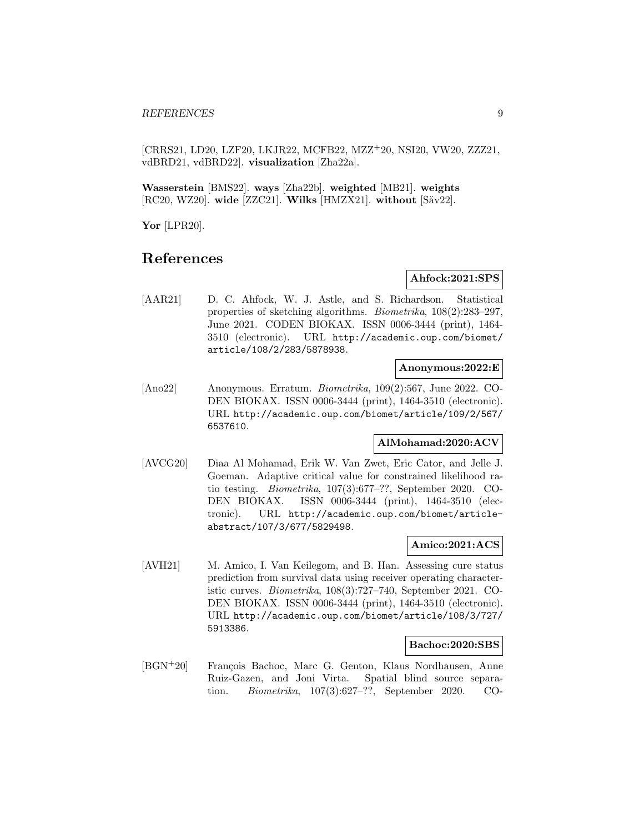[CRRS21, LD20, LZF20, LKJR22, MCFB22, MZZ<sup>+</sup>20, NSI20, VW20, ZZZ21, vdBRD21, vdBRD22]. **visualization** [Zha22a].

**Wasserstein** [BMS22]. **ways** [Zha22b]. **weighted** [MB21]. **weights** [RC20, WZ20]. **wide** [ZZC21]. **Wilks** [HMZX21]. **without** [S¨av22].

**Yor** [LPR20].

# **References**

#### **Ahfock:2021:SPS**

[AAR21] D. C. Ahfock, W. J. Astle, and S. Richardson. Statistical properties of sketching algorithms. Biometrika, 108(2):283–297, June 2021. CODEN BIOKAX. ISSN 0006-3444 (print), 1464- 3510 (electronic). URL http://academic.oup.com/biomet/ article/108/2/283/5878938.

#### **Anonymous:2022:E**

[Ano22] Anonymous. Erratum. Biometrika, 109(2):567, June 2022. CO-DEN BIOKAX. ISSN 0006-3444 (print), 1464-3510 (electronic). URL http://academic.oup.com/biomet/article/109/2/567/ 6537610.

#### **AlMohamad:2020:ACV**

[AVCG20] Diaa Al Mohamad, Erik W. Van Zwet, Eric Cator, and Jelle J. Goeman. Adaptive critical value for constrained likelihood ratio testing. Biometrika, 107(3):677–??, September 2020. CO-DEN BIOKAX. ISSN 0006-3444 (print), 1464-3510 (electronic). URL http://academic.oup.com/biomet/articleabstract/107/3/677/5829498.

#### **Amico:2021:ACS**

[AVH21] M. Amico, I. Van Keilegom, and B. Han. Assessing cure status prediction from survival data using receiver operating characteristic curves. Biometrika, 108(3):727–740, September 2021. CO-DEN BIOKAX. ISSN 0006-3444 (print), 1464-3510 (electronic). URL http://academic.oup.com/biomet/article/108/3/727/ 5913386.

#### **Bachoc:2020:SBS**

[BGN<sup>+</sup>20] François Bachoc, Marc G. Genton, Klaus Nordhausen, Anne Ruiz-Gazen, and Joni Virta. Spatial blind source separation. Biometrika, 107(3):627–??, September 2020. CO-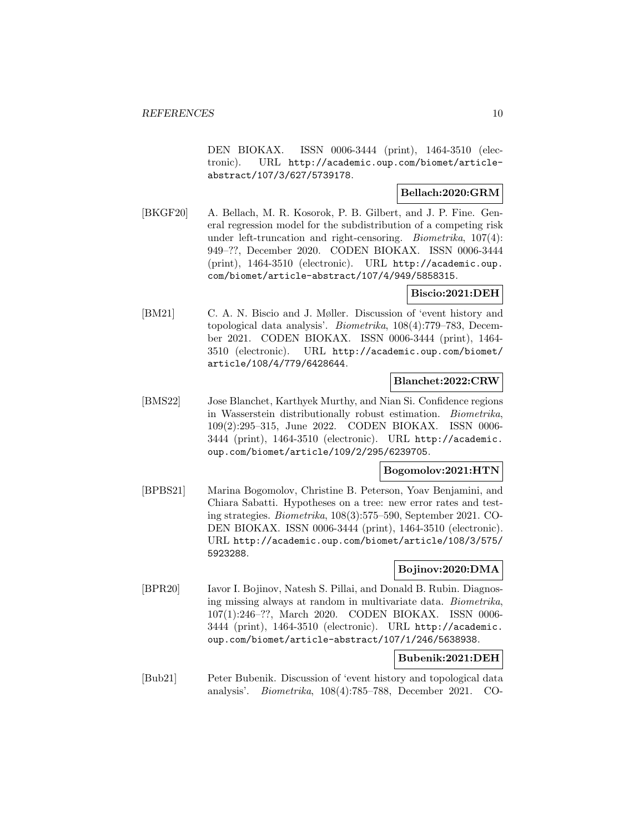DEN BIOKAX. ISSN 0006-3444 (print), 1464-3510 (electronic). URL http://academic.oup.com/biomet/articleabstract/107/3/627/5739178.

#### **Bellach:2020:GRM**

[BKGF20] A. Bellach, M. R. Kosorok, P. B. Gilbert, and J. P. Fine. General regression model for the subdistribution of a competing risk under left-truncation and right-censoring. Biometrika, 107(4): 949–??, December 2020. CODEN BIOKAX. ISSN 0006-3444 (print), 1464-3510 (electronic). URL http://academic.oup. com/biomet/article-abstract/107/4/949/5858315.

#### **Biscio:2021:DEH**

[BM21] C. A. N. Biscio and J. Møller. Discussion of 'event history and topological data analysis'. Biometrika, 108(4):779–783, December 2021. CODEN BIOKAX. ISSN 0006-3444 (print), 1464- 3510 (electronic). URL http://academic.oup.com/biomet/ article/108/4/779/6428644.

### **Blanchet:2022:CRW**

[BMS22] Jose Blanchet, Karthyek Murthy, and Nian Si. Confidence regions in Wasserstein distributionally robust estimation. Biometrika, 109(2):295–315, June 2022. CODEN BIOKAX. ISSN 0006- 3444 (print), 1464-3510 (electronic). URL http://academic. oup.com/biomet/article/109/2/295/6239705.

### **Bogomolov:2021:HTN**

[BPBS21] Marina Bogomolov, Christine B. Peterson, Yoav Benjamini, and Chiara Sabatti. Hypotheses on a tree: new error rates and testing strategies. Biometrika, 108(3):575–590, September 2021. CO-DEN BIOKAX. ISSN 0006-3444 (print), 1464-3510 (electronic). URL http://academic.oup.com/biomet/article/108/3/575/ 5923288.

#### **Bojinov:2020:DMA**

[BPR20] Iavor I. Bojinov, Natesh S. Pillai, and Donald B. Rubin. Diagnosing missing always at random in multivariate data. Biometrika, 107(1):246–??, March 2020. CODEN BIOKAX. ISSN 0006- 3444 (print), 1464-3510 (electronic). URL http://academic. oup.com/biomet/article-abstract/107/1/246/5638938.

### **Bubenik:2021:DEH**

[Bub21] Peter Bubenik. Discussion of 'event history and topological data analysis'. Biometrika, 108(4):785–788, December 2021. CO-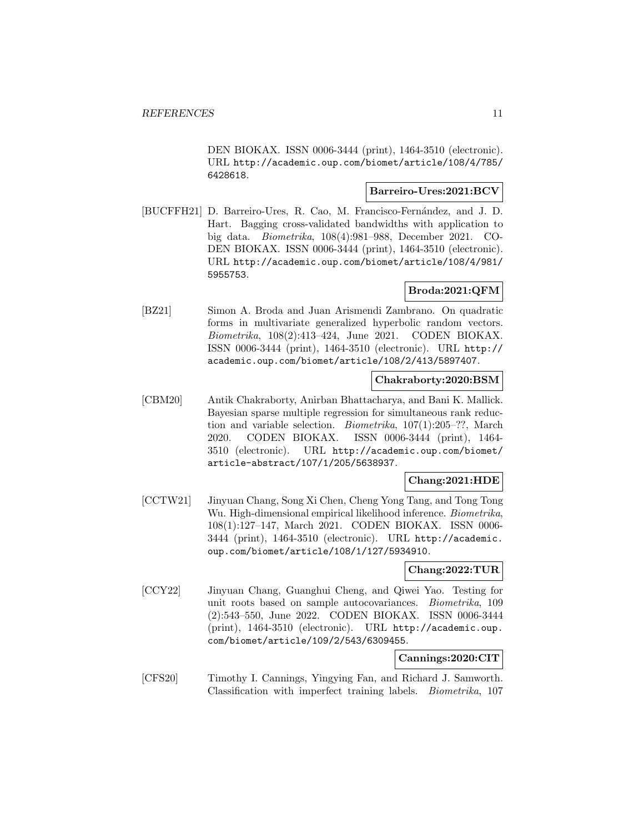DEN BIOKAX. ISSN 0006-3444 (print), 1464-3510 (electronic). URL http://academic.oup.com/biomet/article/108/4/785/ 6428618.

#### **Barreiro-Ures:2021:BCV**

[BUCFFH21] D. Barreiro-Ures, R. Cao, M. Francisco-Fernández, and J. D. Hart. Bagging cross-validated bandwidths with application to big data. Biometrika, 108(4):981–988, December 2021. CO-DEN BIOKAX. ISSN 0006-3444 (print), 1464-3510 (electronic). URL http://academic.oup.com/biomet/article/108/4/981/ 5955753.

### **Broda:2021:QFM**

[BZ21] Simon A. Broda and Juan Arismendi Zambrano. On quadratic forms in multivariate generalized hyperbolic random vectors. Biometrika, 108(2):413–424, June 2021. CODEN BIOKAX. ISSN 0006-3444 (print), 1464-3510 (electronic). URL http:// academic.oup.com/biomet/article/108/2/413/5897407.

# **Chakraborty:2020:BSM**

[CBM20] Antik Chakraborty, Anirban Bhattacharya, and Bani K. Mallick. Bayesian sparse multiple regression for simultaneous rank reduction and variable selection. Biometrika, 107(1):205–??, March 2020. CODEN BIOKAX. ISSN 0006-3444 (print), 1464- 3510 (electronic). URL http://academic.oup.com/biomet/ article-abstract/107/1/205/5638937.

#### **Chang:2021:HDE**

[CCTW21] Jinyuan Chang, Song Xi Chen, Cheng Yong Tang, and Tong Tong Wu. High-dimensional empirical likelihood inference. Biometrika, 108(1):127–147, March 2021. CODEN BIOKAX. ISSN 0006- 3444 (print), 1464-3510 (electronic). URL http://academic. oup.com/biomet/article/108/1/127/5934910.

#### **Chang:2022:TUR**

[CCY22] Jinyuan Chang, Guanghui Cheng, and Qiwei Yao. Testing for unit roots based on sample autocovariances. Biometrika, 109 (2):543–550, June 2022. CODEN BIOKAX. ISSN 0006-3444 (print), 1464-3510 (electronic). URL http://academic.oup. com/biomet/article/109/2/543/6309455.

### **Cannings:2020:CIT**

[CFS20] Timothy I. Cannings, Yingying Fan, and Richard J. Samworth. Classification with imperfect training labels. Biometrika, 107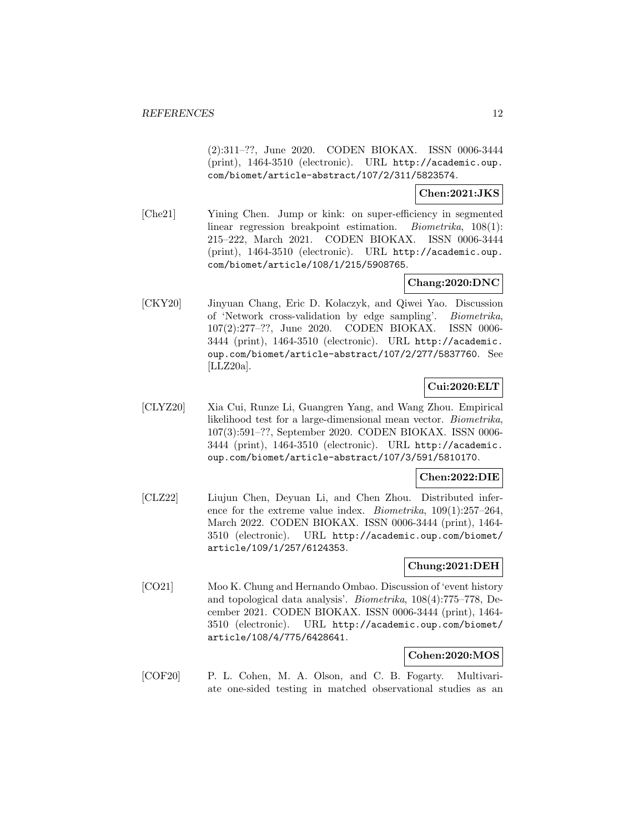(2):311–??, June 2020. CODEN BIOKAX. ISSN 0006-3444 (print), 1464-3510 (electronic). URL http://academic.oup. com/biomet/article-abstract/107/2/311/5823574.

#### **Chen:2021:JKS**

[Che21] Yining Chen. Jump or kink: on super-efficiency in segmented linear regression breakpoint estimation. Biometrika, 108(1): 215–222, March 2021. CODEN BIOKAX. ISSN 0006-3444 (print), 1464-3510 (electronic). URL http://academic.oup. com/biomet/article/108/1/215/5908765.

### **Chang:2020:DNC**

[CKY20] Jinyuan Chang, Eric D. Kolaczyk, and Qiwei Yao. Discussion of 'Network cross-validation by edge sampling'. Biometrika, 107(2):277–??, June 2020. CODEN BIOKAX. ISSN 0006- 3444 (print), 1464-3510 (electronic). URL http://academic. oup.com/biomet/article-abstract/107/2/277/5837760. See [LLZ20a].

# **Cui:2020:ELT**

[CLYZ20] Xia Cui, Runze Li, Guangren Yang, and Wang Zhou. Empirical likelihood test for a large-dimensional mean vector. Biometrika, 107(3):591–??, September 2020. CODEN BIOKAX. ISSN 0006- 3444 (print), 1464-3510 (electronic). URL http://academic. oup.com/biomet/article-abstract/107/3/591/5810170.

#### **Chen:2022:DIE**

[CLZ22] Liujun Chen, Deyuan Li, and Chen Zhou. Distributed inference for the extreme value index. Biometrika, 109(1):257–264, March 2022. CODEN BIOKAX. ISSN 0006-3444 (print), 1464- 3510 (electronic). URL http://academic.oup.com/biomet/ article/109/1/257/6124353.

#### **Chung:2021:DEH**

[CO21] Moo K. Chung and Hernando Ombao. Discussion of 'event history and topological data analysis'. Biometrika, 108(4):775–778, December 2021. CODEN BIOKAX. ISSN 0006-3444 (print), 1464- 3510 (electronic). URL http://academic.oup.com/biomet/ article/108/4/775/6428641.

#### **Cohen:2020:MOS**

[COF20] P. L. Cohen, M. A. Olson, and C. B. Fogarty. Multivariate one-sided testing in matched observational studies as an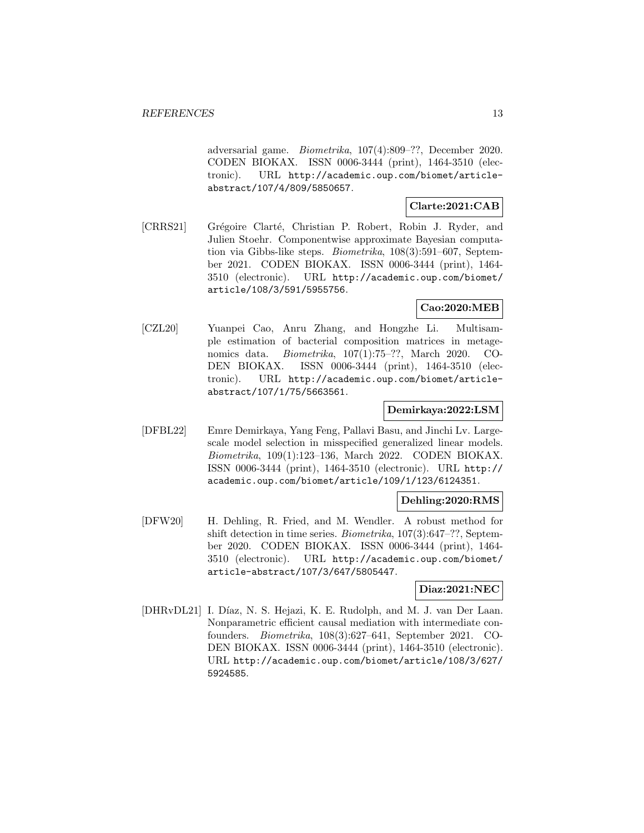adversarial game. Biometrika, 107(4):809–??, December 2020. CODEN BIOKAX. ISSN 0006-3444 (print), 1464-3510 (electronic). URL http://academic.oup.com/biomet/articleabstract/107/4/809/5850657.

#### **Clarte:2021:CAB**

[CRRS21] Grégoire Clarté, Christian P. Robert, Robin J. Ryder, and Julien Stoehr. Componentwise approximate Bayesian computation via Gibbs-like steps. Biometrika, 108(3):591–607, September 2021. CODEN BIOKAX. ISSN 0006-3444 (print), 1464- 3510 (electronic). URL http://academic.oup.com/biomet/ article/108/3/591/5955756.

#### **Cao:2020:MEB**

[CZL20] Yuanpei Cao, Anru Zhang, and Hongzhe Li. Multisample estimation of bacterial composition matrices in metagenomics data. Biometrika, 107(1):75–??, March 2020. CO-DEN BIOKAX. ISSN 0006-3444 (print), 1464-3510 (electronic). URL http://academic.oup.com/biomet/articleabstract/107/1/75/5663561.

#### **Demirkaya:2022:LSM**

[DFBL22] Emre Demirkaya, Yang Feng, Pallavi Basu, and Jinchi Lv. Largescale model selection in misspecified generalized linear models. Biometrika, 109(1):123–136, March 2022. CODEN BIOKAX. ISSN 0006-3444 (print), 1464-3510 (electronic). URL http:// academic.oup.com/biomet/article/109/1/123/6124351.

#### **Dehling:2020:RMS**

[DFW20] H. Dehling, R. Fried, and M. Wendler. A robust method for shift detection in time series. Biometrika, 107(3):647–??, September 2020. CODEN BIOKAX. ISSN 0006-3444 (print), 1464- 3510 (electronic). URL http://academic.oup.com/biomet/ article-abstract/107/3/647/5805447.

### **Diaz:2021:NEC**

[DHRvDL21] I. Díaz, N. S. Hejazi, K. E. Rudolph, and M. J. van Der Laan. Nonparametric efficient causal mediation with intermediate confounders. Biometrika, 108(3):627–641, September 2021. CO-DEN BIOKAX. ISSN 0006-3444 (print), 1464-3510 (electronic). URL http://academic.oup.com/biomet/article/108/3/627/ 5924585.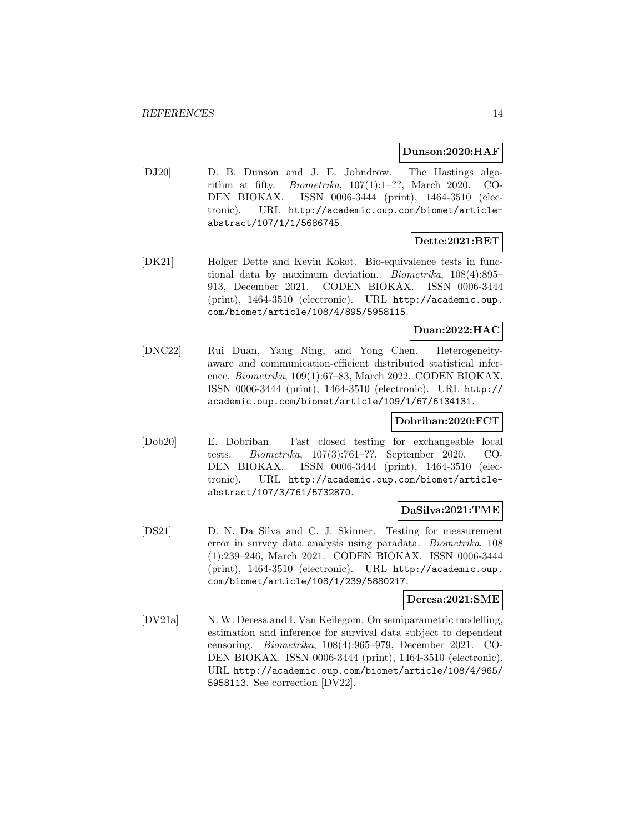#### **Dunson:2020:HAF**

[DJ20] D. B. Dunson and J. E. Johndrow. The Hastings algorithm at fifty. *Biometrika*,  $107(1):1-??$ , March 2020. CO-DEN BIOKAX. ISSN 0006-3444 (print), 1464-3510 (electronic). URL http://academic.oup.com/biomet/articleabstract/107/1/1/5686745.

### **Dette:2021:BET**

[DK21] Holger Dette and Kevin Kokot. Bio-equivalence tests in functional data by maximum deviation. Biometrika, 108(4):895– 913, December 2021. CODEN BIOKAX. ISSN 0006-3444 (print), 1464-3510 (electronic). URL http://academic.oup. com/biomet/article/108/4/895/5958115.

### **Duan:2022:HAC**

[DNC22] Rui Duan, Yang Ning, and Yong Chen. Heterogeneityaware and communication-efficient distributed statistical inference. Biometrika, 109(1):67–83, March 2022. CODEN BIOKAX. ISSN 0006-3444 (print), 1464-3510 (electronic). URL http:// academic.oup.com/biomet/article/109/1/67/6134131.

#### **Dobriban:2020:FCT**

[Dob20] E. Dobriban. Fast closed testing for exchangeable local tests. Biometrika, 107(3):761–??, September 2020. CO-DEN BIOKAX. ISSN 0006-3444 (print), 1464-3510 (electronic). URL http://academic.oup.com/biomet/articleabstract/107/3/761/5732870.

#### **DaSilva:2021:TME**

[DS21] D. N. Da Silva and C. J. Skinner. Testing for measurement error in survey data analysis using paradata. Biometrika, 108 (1):239–246, March 2021. CODEN BIOKAX. ISSN 0006-3444 (print), 1464-3510 (electronic). URL http://academic.oup. com/biomet/article/108/1/239/5880217.

#### **Deresa:2021:SME**

[DV21a] N. W. Deresa and I. Van Keilegom. On semiparametric modelling, estimation and inference for survival data subject to dependent censoring. Biometrika, 108(4):965–979, December 2021. CO-DEN BIOKAX. ISSN 0006-3444 (print), 1464-3510 (electronic). URL http://academic.oup.com/biomet/article/108/4/965/ 5958113. See correction [DV22].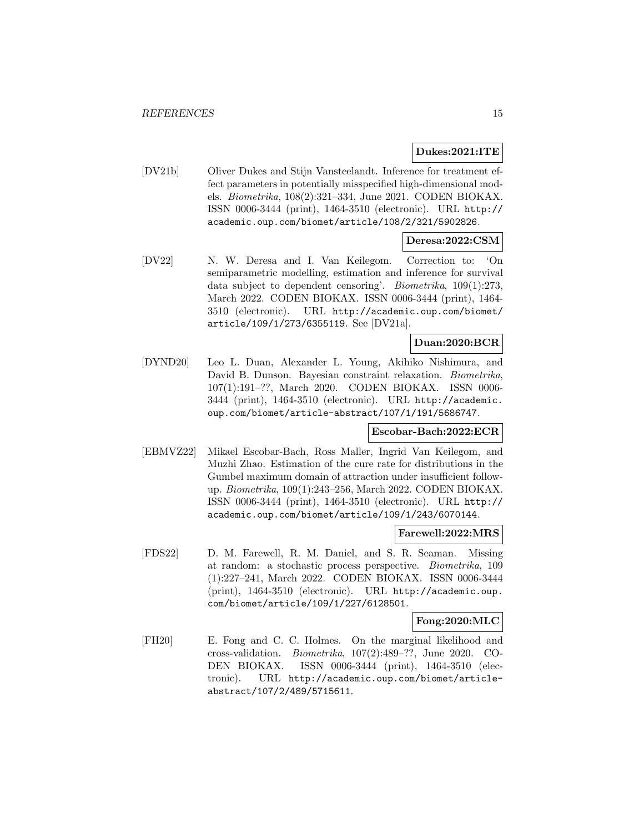#### **Dukes:2021:ITE**

[DV21b] Oliver Dukes and Stijn Vansteelandt. Inference for treatment effect parameters in potentially misspecified high-dimensional models. Biometrika, 108(2):321–334, June 2021. CODEN BIOKAX. ISSN 0006-3444 (print), 1464-3510 (electronic). URL http:// academic.oup.com/biomet/article/108/2/321/5902826.

### **Deresa:2022:CSM**

[DV22] N. W. Deresa and I. Van Keilegom. Correction to: 'On semiparametric modelling, estimation and inference for survival data subject to dependent censoring'. Biometrika, 109(1):273, March 2022. CODEN BIOKAX. ISSN 0006-3444 (print), 1464- 3510 (electronic). URL http://academic.oup.com/biomet/ article/109/1/273/6355119. See [DV21a].

#### **Duan:2020:BCR**

[DYND20] Leo L. Duan, Alexander L. Young, Akihiko Nishimura, and David B. Dunson. Bayesian constraint relaxation. Biometrika, 107(1):191–??, March 2020. CODEN BIOKAX. ISSN 0006- 3444 (print), 1464-3510 (electronic). URL http://academic. oup.com/biomet/article-abstract/107/1/191/5686747.

#### **Escobar-Bach:2022:ECR**

[EBMVZ22] Mikael Escobar-Bach, Ross Maller, Ingrid Van Keilegom, and Muzhi Zhao. Estimation of the cure rate for distributions in the Gumbel maximum domain of attraction under insufficient followup. Biometrika, 109(1):243–256, March 2022. CODEN BIOKAX. ISSN 0006-3444 (print), 1464-3510 (electronic). URL http:// academic.oup.com/biomet/article/109/1/243/6070144.

#### **Farewell:2022:MRS**

[FDS22] D. M. Farewell, R. M. Daniel, and S. R. Seaman. Missing at random: a stochastic process perspective. Biometrika, 109 (1):227–241, March 2022. CODEN BIOKAX. ISSN 0006-3444 (print), 1464-3510 (electronic). URL http://academic.oup. com/biomet/article/109/1/227/6128501.

#### **Fong:2020:MLC**

[FH20] E. Fong and C. C. Holmes. On the marginal likelihood and cross-validation. Biometrika, 107(2):489–??, June 2020. CO-DEN BIOKAX. ISSN 0006-3444 (print), 1464-3510 (electronic). URL http://academic.oup.com/biomet/articleabstract/107/2/489/5715611.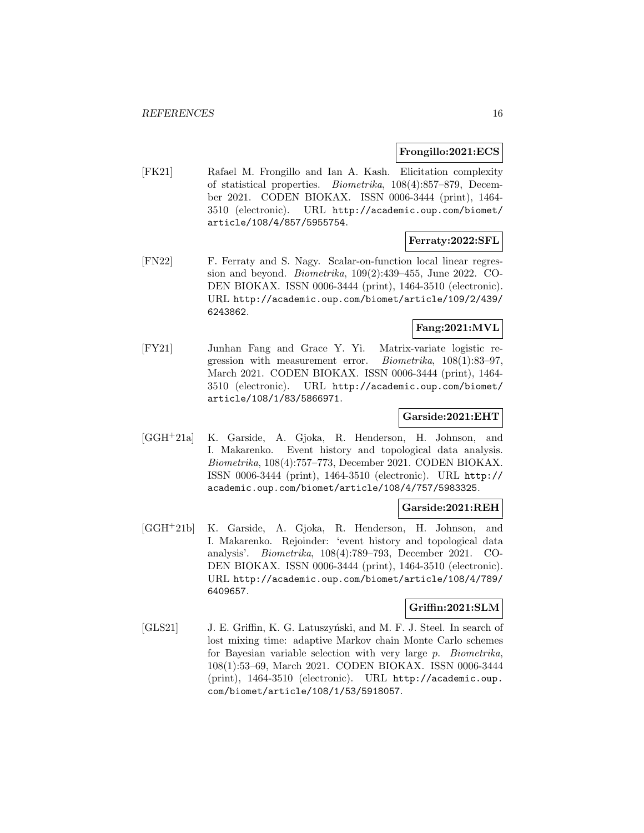#### **Frongillo:2021:ECS**

[FK21] Rafael M. Frongillo and Ian A. Kash. Elicitation complexity of statistical properties. Biometrika, 108(4):857–879, December 2021. CODEN BIOKAX. ISSN 0006-3444 (print), 1464- 3510 (electronic). URL http://academic.oup.com/biomet/ article/108/4/857/5955754.

#### **Ferraty:2022:SFL**

[FN22] F. Ferraty and S. Nagy. Scalar-on-function local linear regression and beyond. Biometrika, 109(2):439–455, June 2022. CO-DEN BIOKAX. ISSN 0006-3444 (print), 1464-3510 (electronic). URL http://academic.oup.com/biomet/article/109/2/439/ 6243862.

### **Fang:2021:MVL**

[FY21] Junhan Fang and Grace Y. Yi. Matrix-variate logistic regression with measurement error. Biometrika, 108(1):83–97, March 2021. CODEN BIOKAX. ISSN 0006-3444 (print), 1464- 3510 (electronic). URL http://academic.oup.com/biomet/ article/108/1/83/5866971.

### **Garside:2021:EHT**

[GGH<sup>+</sup>21a] K. Garside, A. Gjoka, R. Henderson, H. Johnson, and I. Makarenko. Event history and topological data analysis. Biometrika, 108(4):757–773, December 2021. CODEN BIOKAX. ISSN 0006-3444 (print), 1464-3510 (electronic). URL http:// academic.oup.com/biomet/article/108/4/757/5983325.

#### **Garside:2021:REH**

[GGH<sup>+</sup>21b] K. Garside, A. Gjoka, R. Henderson, H. Johnson, and I. Makarenko. Rejoinder: 'event history and topological data analysis'. Biometrika, 108(4):789–793, December 2021. CO-DEN BIOKAX. ISSN 0006-3444 (print), 1464-3510 (electronic). URL http://academic.oup.com/biomet/article/108/4/789/ 6409657.

#### **Griffin:2021:SLM**

[GLS21] J. E. Griffin, K. G. Latuszyński, and M. F. J. Steel. In search of lost mixing time: adaptive Markov chain Monte Carlo schemes for Bayesian variable selection with very large p. Biometrika, 108(1):53–69, March 2021. CODEN BIOKAX. ISSN 0006-3444 (print), 1464-3510 (electronic). URL http://academic.oup. com/biomet/article/108/1/53/5918057.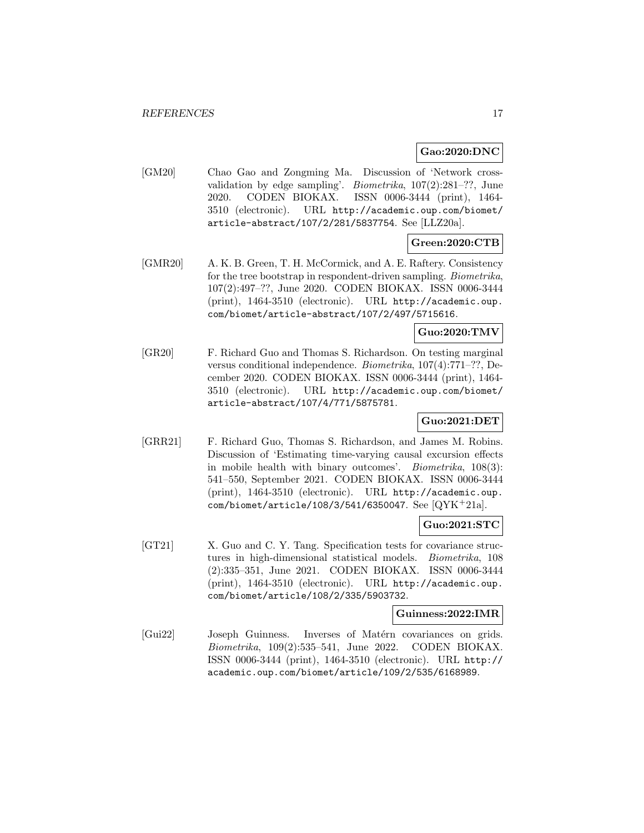#### **Gao:2020:DNC**

[GM20] Chao Gao and Zongming Ma. Discussion of 'Network crossvalidation by edge sampling'. Biometrika, 107(2):281–??, June 2020. CODEN BIOKAX. ISSN 0006-3444 (print), 1464- 3510 (electronic). URL http://academic.oup.com/biomet/ article-abstract/107/2/281/5837754. See [LLZ20a].

# **Green:2020:CTB**

[GMR20] A. K. B. Green, T. H. McCormick, and A. E. Raftery. Consistency for the tree bootstrap in respondent-driven sampling. Biometrika, 107(2):497–??, June 2020. CODEN BIOKAX. ISSN 0006-3444 (print), 1464-3510 (electronic). URL http://academic.oup. com/biomet/article-abstract/107/2/497/5715616.

#### **Guo:2020:TMV**

[GR20] F. Richard Guo and Thomas S. Richardson. On testing marginal versus conditional independence. Biometrika, 107(4):771–??, December 2020. CODEN BIOKAX. ISSN 0006-3444 (print), 1464- 3510 (electronic). URL http://academic.oup.com/biomet/ article-abstract/107/4/771/5875781.

# **Guo:2021:DET**

[GRR21] F. Richard Guo, Thomas S. Richardson, and James M. Robins. Discussion of 'Estimating time-varying causal excursion effects in mobile health with binary outcomes'. Biometrika, 108(3): 541–550, September 2021. CODEN BIOKAX. ISSN 0006-3444 (print), 1464-3510 (electronic). URL http://academic.oup. com/biomet/article/108/3/541/6350047. See [QYK<sup>+</sup>21a].

#### **Guo:2021:STC**

[GT21] X. Guo and C. Y. Tang. Specification tests for covariance structures in high-dimensional statistical models. Biometrika, 108 (2):335–351, June 2021. CODEN BIOKAX. ISSN 0006-3444 (print), 1464-3510 (electronic). URL http://academic.oup. com/biomet/article/108/2/335/5903732.

#### **Guinness:2022:IMR**

[Gui22] Joseph Guinness. Inverses of Matérn covariances on grids. Biometrika, 109(2):535–541, June 2022. CODEN BIOKAX. ISSN 0006-3444 (print), 1464-3510 (electronic). URL http:// academic.oup.com/biomet/article/109/2/535/6168989.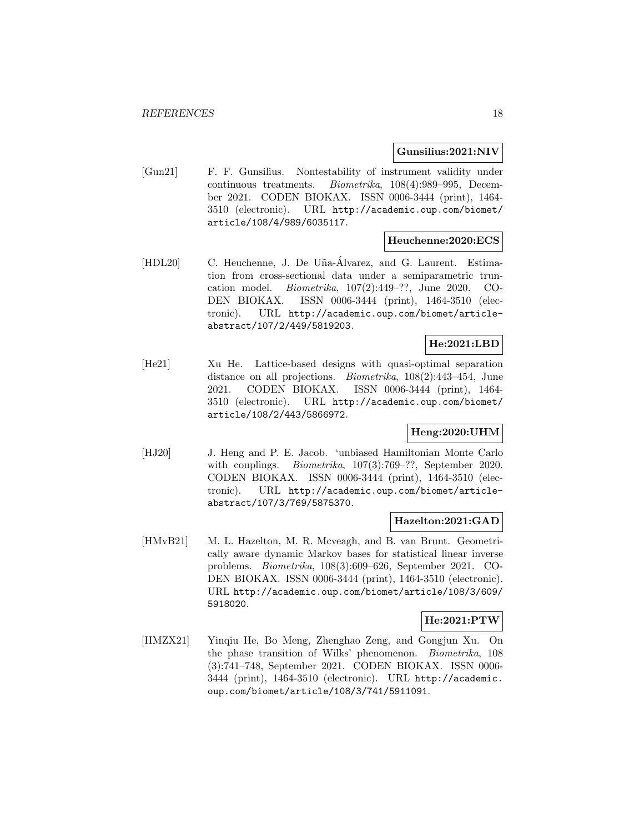#### **Gunsilius:2021:NIV**

[Gun21] F. F. Gunsilius. Nontestability of instrument validity under continuous treatments. Biometrika, 108(4):989–995, December 2021. CODEN BIOKAX. ISSN 0006-3444 (print), 1464- 3510 (electronic). URL http://academic.oup.com/biomet/ article/108/4/989/6035117.

#### **Heuchenne:2020:ECS**

[HDL20] C. Heuchenne, J. De Uña-Álvarez, and G. Laurent. Estimation from cross-sectional data under a semiparametric truncation model. Biometrika, 107(2):449–??, June 2020. CO-DEN BIOKAX. ISSN 0006-3444 (print), 1464-3510 (electronic). URL http://academic.oup.com/biomet/articleabstract/107/2/449/5819203.

# **He:2021:LBD**

[He21] Xu He. Lattice-based designs with quasi-optimal separation distance on all projections. Biometrika, 108(2):443–454, June 2021. CODEN BIOKAX. ISSN 0006-3444 (print), 1464- 3510 (electronic). URL http://academic.oup.com/biomet/ article/108/2/443/5866972.

### **Heng:2020:UHM**

[HJ20] J. Heng and P. E. Jacob. 'unbiased Hamiltonian Monte Carlo with couplings. *Biometrika*, 107(3):769–??, September 2020. CODEN BIOKAX. ISSN 0006-3444 (print), 1464-3510 (electronic). URL http://academic.oup.com/biomet/articleabstract/107/3/769/5875370.

#### **Hazelton:2021:GAD**

[HMvB21] M. L. Hazelton, M. R. Mcveagh, and B. van Brunt. Geometrically aware dynamic Markov bases for statistical linear inverse problems. Biometrika, 108(3):609–626, September 2021. CO-DEN BIOKAX. ISSN 0006-3444 (print), 1464-3510 (electronic). URL http://academic.oup.com/biomet/article/108/3/609/ 5918020.

#### **He:2021:PTW**

[HMZX21] Yinqiu He, Bo Meng, Zhenghao Zeng, and Gongjun Xu. On the phase transition of Wilks' phenomenon. Biometrika, 108 (3):741–748, September 2021. CODEN BIOKAX. ISSN 0006- 3444 (print), 1464-3510 (electronic). URL http://academic. oup.com/biomet/article/108/3/741/5911091.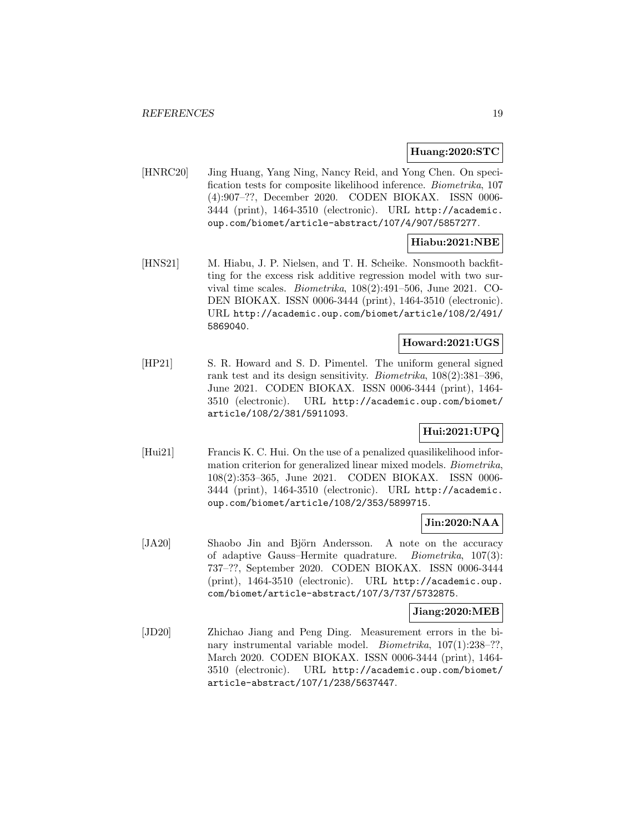#### **Huang:2020:STC**

[HNRC20] Jing Huang, Yang Ning, Nancy Reid, and Yong Chen. On specification tests for composite likelihood inference. Biometrika, 107 (4):907–??, December 2020. CODEN BIOKAX. ISSN 0006- 3444 (print), 1464-3510 (electronic). URL http://academic. oup.com/biomet/article-abstract/107/4/907/5857277.

# **Hiabu:2021:NBE**

[HNS21] M. Hiabu, J. P. Nielsen, and T. H. Scheike. Nonsmooth backfitting for the excess risk additive regression model with two survival time scales. Biometrika, 108(2):491–506, June 2021. CO-DEN BIOKAX. ISSN 0006-3444 (print), 1464-3510 (electronic). URL http://academic.oup.com/biomet/article/108/2/491/ 5869040.

#### **Howard:2021:UGS**

[HP21] S. R. Howard and S. D. Pimentel. The uniform general signed rank test and its design sensitivity. Biometrika, 108(2):381–396, June 2021. CODEN BIOKAX. ISSN 0006-3444 (print), 1464- 3510 (electronic). URL http://academic.oup.com/biomet/ article/108/2/381/5911093.

# **Hui:2021:UPQ**

[Hui21] Francis K. C. Hui. On the use of a penalized quasilikelihood information criterion for generalized linear mixed models. Biometrika, 108(2):353–365, June 2021. CODEN BIOKAX. ISSN 0006- 3444 (print), 1464-3510 (electronic). URL http://academic. oup.com/biomet/article/108/2/353/5899715.

### **Jin:2020:NAA**

[JA20] Shaobo Jin and Björn Andersson. A note on the accuracy of adaptive Gauss–Hermite quadrature. Biometrika, 107(3): 737–??, September 2020. CODEN BIOKAX. ISSN 0006-3444 (print), 1464-3510 (electronic). URL http://academic.oup. com/biomet/article-abstract/107/3/737/5732875.

#### **Jiang:2020:MEB**

[JD20] Zhichao Jiang and Peng Ding. Measurement errors in the binary instrumental variable model. *Biometrika*,  $107(1):238-??$ , March 2020. CODEN BIOKAX. ISSN 0006-3444 (print), 1464- 3510 (electronic). URL http://academic.oup.com/biomet/ article-abstract/107/1/238/5637447.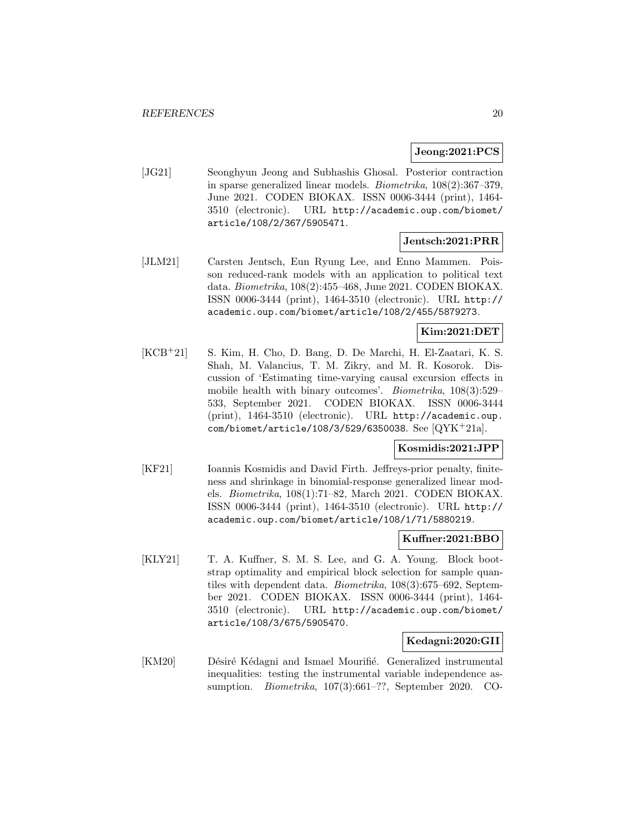#### **Jeong:2021:PCS**

[JG21] Seonghyun Jeong and Subhashis Ghosal. Posterior contraction in sparse generalized linear models. Biometrika, 108(2):367–379, June 2021. CODEN BIOKAX. ISSN 0006-3444 (print), 1464- 3510 (electronic). URL http://academic.oup.com/biomet/ article/108/2/367/5905471.

#### **Jentsch:2021:PRR**

[JLM21] Carsten Jentsch, Eun Ryung Lee, and Enno Mammen. Poisson reduced-rank models with an application to political text data. Biometrika, 108(2):455–468, June 2021. CODEN BIOKAX. ISSN 0006-3444 (print), 1464-3510 (electronic). URL http:// academic.oup.com/biomet/article/108/2/455/5879273.

#### **Kim:2021:DET**

[KCB<sup>+</sup>21] S. Kim, H. Cho, D. Bang, D. De Marchi, H. El-Zaatari, K. S. Shah, M. Valancius, T. M. Zikry, and M. R. Kosorok. Discussion of 'Estimating time-varying causal excursion effects in mobile health with binary outcomes'. Biometrika, 108(3):529– 533, September 2021. CODEN BIOKAX. ISSN 0006-3444 (print), 1464-3510 (electronic). URL http://academic.oup. com/biomet/article/108/3/529/6350038. See [QYK<sup>+</sup>21a].

#### **Kosmidis:2021:JPP**

[KF21] Ioannis Kosmidis and David Firth. Jeffreys-prior penalty, finiteness and shrinkage in binomial-response generalized linear models. Biometrika, 108(1):71–82, March 2021. CODEN BIOKAX. ISSN 0006-3444 (print), 1464-3510 (electronic). URL http:// academic.oup.com/biomet/article/108/1/71/5880219.

#### **Kuffner:2021:BBO**

[KLY21] T. A. Kuffner, S. M. S. Lee, and G. A. Young. Block bootstrap optimality and empirical block selection for sample quantiles with dependent data. Biometrika, 108(3):675–692, September 2021. CODEN BIOKAX. ISSN 0006-3444 (print), 1464- 3510 (electronic). URL http://academic.oup.com/biomet/ article/108/3/675/5905470.

#### **Kedagni:2020:GII**

[KM20] Désiré Kédagni and Ismael Mourifié. Generalized instrumental inequalities: testing the instrumental variable independence assumption. Biometrika, 107(3):661–??, September 2020. CO-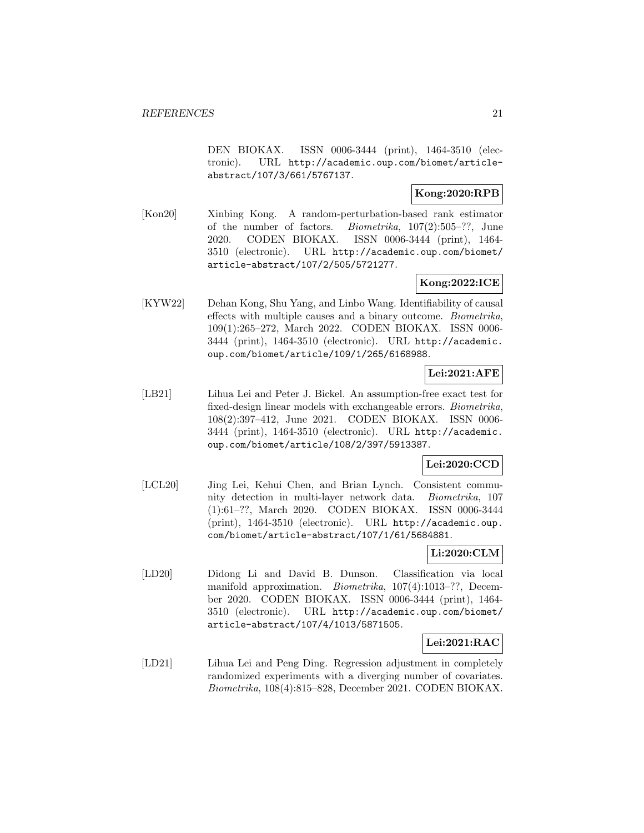DEN BIOKAX. ISSN 0006-3444 (print), 1464-3510 (electronic). URL http://academic.oup.com/biomet/articleabstract/107/3/661/5767137.

#### **Kong:2020:RPB**

[Kon20] Xinbing Kong. A random-perturbation-based rank estimator of the number of factors. Biometrika, 107(2):505–??, June 2020. CODEN BIOKAX. ISSN 0006-3444 (print), 1464- 3510 (electronic). URL http://academic.oup.com/biomet/ article-abstract/107/2/505/5721277.

### **Kong:2022:ICE**

[KYW22] Dehan Kong, Shu Yang, and Linbo Wang. Identifiability of causal effects with multiple causes and a binary outcome. Biometrika, 109(1):265–272, March 2022. CODEN BIOKAX. ISSN 0006- 3444 (print), 1464-3510 (electronic). URL http://academic. oup.com/biomet/article/109/1/265/6168988.

# **Lei:2021:AFE**

[LB21] Lihua Lei and Peter J. Bickel. An assumption-free exact test for fixed-design linear models with exchangeable errors. Biometrika, 108(2):397–412, June 2021. CODEN BIOKAX. ISSN 0006- 3444 (print), 1464-3510 (electronic). URL http://academic. oup.com/biomet/article/108/2/397/5913387.

### **Lei:2020:CCD**

[LCL20] Jing Lei, Kehui Chen, and Brian Lynch. Consistent community detection in multi-layer network data. Biometrika, 107 (1):61–??, March 2020. CODEN BIOKAX. ISSN 0006-3444 (print), 1464-3510 (electronic). URL http://academic.oup. com/biomet/article-abstract/107/1/61/5684881.

#### **Li:2020:CLM**

[LD20] Didong Li and David B. Dunson. Classification via local manifold approximation. Biometrika, 107(4):1013–??, December 2020. CODEN BIOKAX. ISSN 0006-3444 (print), 1464- 3510 (electronic). URL http://academic.oup.com/biomet/ article-abstract/107/4/1013/5871505.

### **Lei:2021:RAC**

[LD21] Lihua Lei and Peng Ding. Regression adjustment in completely randomized experiments with a diverging number of covariates. Biometrika, 108(4):815–828, December 2021. CODEN BIOKAX.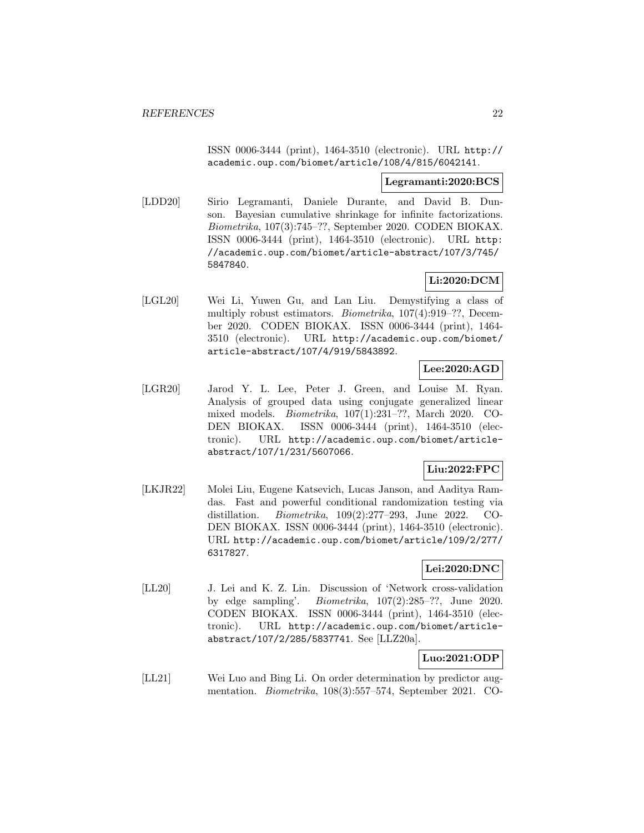ISSN 0006-3444 (print), 1464-3510 (electronic). URL http:// academic.oup.com/biomet/article/108/4/815/6042141.

#### **Legramanti:2020:BCS**

[LDD20] Sirio Legramanti, Daniele Durante, and David B. Dunson. Bayesian cumulative shrinkage for infinite factorizations. Biometrika, 107(3):745–??, September 2020. CODEN BIOKAX. ISSN 0006-3444 (print), 1464-3510 (electronic). URL http: //academic.oup.com/biomet/article-abstract/107/3/745/ 5847840.

### **Li:2020:DCM**

[LGL20] Wei Li, Yuwen Gu, and Lan Liu. Demystifying a class of multiply robust estimators. Biometrika, 107(4):919–??, December 2020. CODEN BIOKAX. ISSN 0006-3444 (print), 1464- 3510 (electronic). URL http://academic.oup.com/biomet/ article-abstract/107/4/919/5843892.

# **Lee:2020:AGD**

[LGR20] Jarod Y. L. Lee, Peter J. Green, and Louise M. Ryan. Analysis of grouped data using conjugate generalized linear mixed models. Biometrika, 107(1):231–??, March 2020. CO-DEN BIOKAX. ISSN 0006-3444 (print), 1464-3510 (electronic). URL http://academic.oup.com/biomet/articleabstract/107/1/231/5607066.

# **Liu:2022:FPC**

[LKJR22] Molei Liu, Eugene Katsevich, Lucas Janson, and Aaditya Ramdas. Fast and powerful conditional randomization testing via distillation. Biometrika, 109(2):277–293, June 2022. CO-DEN BIOKAX. ISSN 0006-3444 (print), 1464-3510 (electronic). URL http://academic.oup.com/biomet/article/109/2/277/ 6317827.

# **Lei:2020:DNC**

[LL20] J. Lei and K. Z. Lin. Discussion of 'Network cross-validation by edge sampling'. Biometrika, 107(2):285–??, June 2020. CODEN BIOKAX. ISSN 0006-3444 (print), 1464-3510 (electronic). URL http://academic.oup.com/biomet/articleabstract/107/2/285/5837741. See [LLZ20a].

### **Luo:2021:ODP**

[LL21] Wei Luo and Bing Li. On order determination by predictor augmentation. Biometrika, 108(3):557–574, September 2021. CO-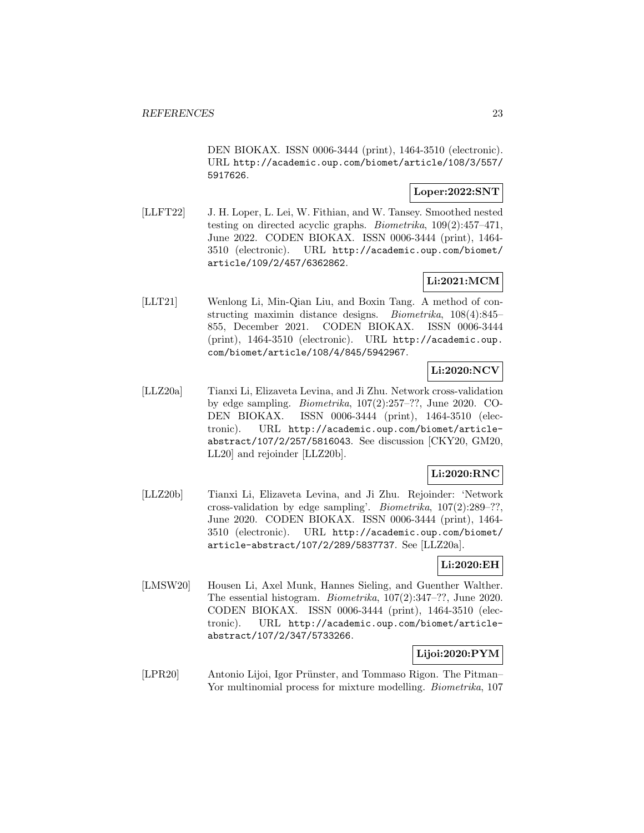DEN BIOKAX. ISSN 0006-3444 (print), 1464-3510 (electronic). URL http://academic.oup.com/biomet/article/108/3/557/ 5917626.

#### **Loper:2022:SNT**

[LLFT22] J. H. Loper, L. Lei, W. Fithian, and W. Tansey. Smoothed nested testing on directed acyclic graphs. Biometrika, 109(2):457–471, June 2022. CODEN BIOKAX. ISSN 0006-3444 (print), 1464- 3510 (electronic). URL http://academic.oup.com/biomet/ article/109/2/457/6362862.

# **Li:2021:MCM**

[LLT21] Wenlong Li, Min-Qian Liu, and Boxin Tang. A method of constructing maximin distance designs. Biometrika, 108(4):845– 855, December 2021. CODEN BIOKAX. ISSN 0006-3444 (print), 1464-3510 (electronic). URL http://academic.oup. com/biomet/article/108/4/845/5942967.

# **Li:2020:NCV**

[LLZ20a] Tianxi Li, Elizaveta Levina, and Ji Zhu. Network cross-validation by edge sampling. Biometrika, 107(2):257–??, June 2020. CO-DEN BIOKAX. ISSN 0006-3444 (print), 1464-3510 (electronic). URL http://academic.oup.com/biomet/articleabstract/107/2/257/5816043. See discussion [CKY20, GM20, LL20] and rejoinder [LLZ20b].

### **Li:2020:RNC**

[LLZ20b] Tianxi Li, Elizaveta Levina, and Ji Zhu. Rejoinder: 'Network cross-validation by edge sampling'. Biometrika, 107(2):289–??, June 2020. CODEN BIOKAX. ISSN 0006-3444 (print), 1464- 3510 (electronic). URL http://academic.oup.com/biomet/ article-abstract/107/2/289/5837737. See [LLZ20a].

### **Li:2020:EH**

[LMSW20] Housen Li, Axel Munk, Hannes Sieling, and Guenther Walther. The essential histogram. Biometrika, 107(2):347–??, June 2020. CODEN BIOKAX. ISSN 0006-3444 (print), 1464-3510 (electronic). URL http://academic.oup.com/biomet/articleabstract/107/2/347/5733266.

# **Lijoi:2020:PYM**

[LPR20] Antonio Lijoi, Igor Prünster, and Tommaso Rigon. The Pitman– Yor multinomial process for mixture modelling. *Biometrika*, 107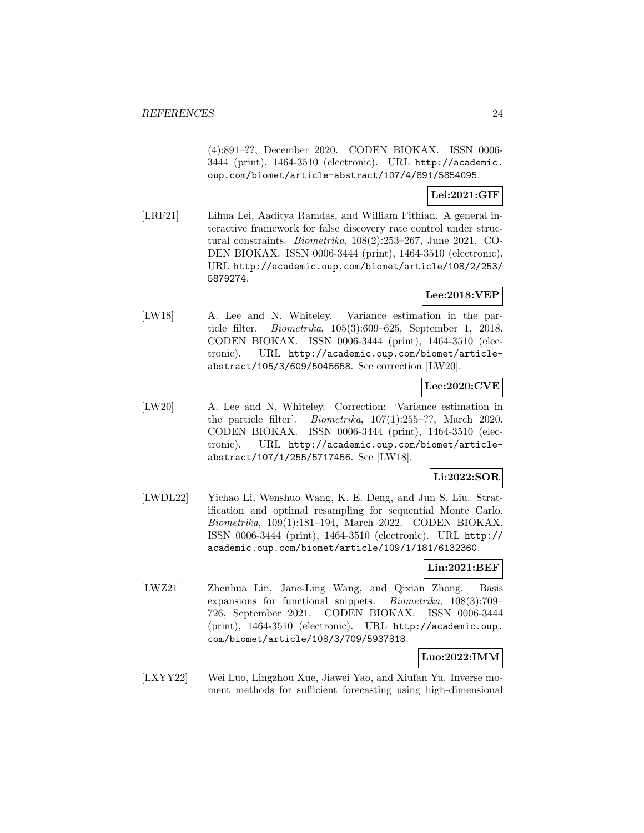(4):891–??, December 2020. CODEN BIOKAX. ISSN 0006- 3444 (print), 1464-3510 (electronic). URL http://academic. oup.com/biomet/article-abstract/107/4/891/5854095.

#### **Lei:2021:GIF**

[LRF21] Lihua Lei, Aaditya Ramdas, and William Fithian. A general interactive framework for false discovery rate control under structural constraints. Biometrika, 108(2):253–267, June 2021. CO-DEN BIOKAX. ISSN 0006-3444 (print), 1464-3510 (electronic). URL http://academic.oup.com/biomet/article/108/2/253/ 5879274.

# **Lee:2018:VEP**

[LW18] A. Lee and N. Whiteley. Variance estimation in the particle filter. Biometrika, 105(3):609–625, September 1, 2018. CODEN BIOKAX. ISSN 0006-3444 (print), 1464-3510 (electronic). URL http://academic.oup.com/biomet/articleabstract/105/3/609/5045658. See correction [LW20].

#### **Lee:2020:CVE**

[LW20] A. Lee and N. Whiteley. Correction: 'Variance estimation in the particle filter'. Biometrika, 107(1):255–??, March 2020. CODEN BIOKAX. ISSN 0006-3444 (print), 1464-3510 (electronic). URL http://academic.oup.com/biomet/articleabstract/107/1/255/5717456. See [LW18].

### **Li:2022:SOR**

[LWDL22] Yichao Li, Wenshuo Wang, K. E. Deng, and Jun S. Liu. Stratification and optimal resampling for sequential Monte Carlo. Biometrika, 109(1):181–194, March 2022. CODEN BIOKAX. ISSN 0006-3444 (print), 1464-3510 (electronic). URL http:// academic.oup.com/biomet/article/109/1/181/6132360.

# **Lin:2021:BEF**

[LWZ21] Zhenhua Lin, Jane-Ling Wang, and Qixian Zhong. Basis expansions for functional snippets. Biometrika, 108(3):709– 726, September 2021. CODEN BIOKAX. ISSN 0006-3444 (print), 1464-3510 (electronic). URL http://academic.oup. com/biomet/article/108/3/709/5937818.

### **Luo:2022:IMM**

[LXYY22] Wei Luo, Lingzhou Xue, Jiawei Yao, and Xiufan Yu. Inverse moment methods for sufficient forecasting using high-dimensional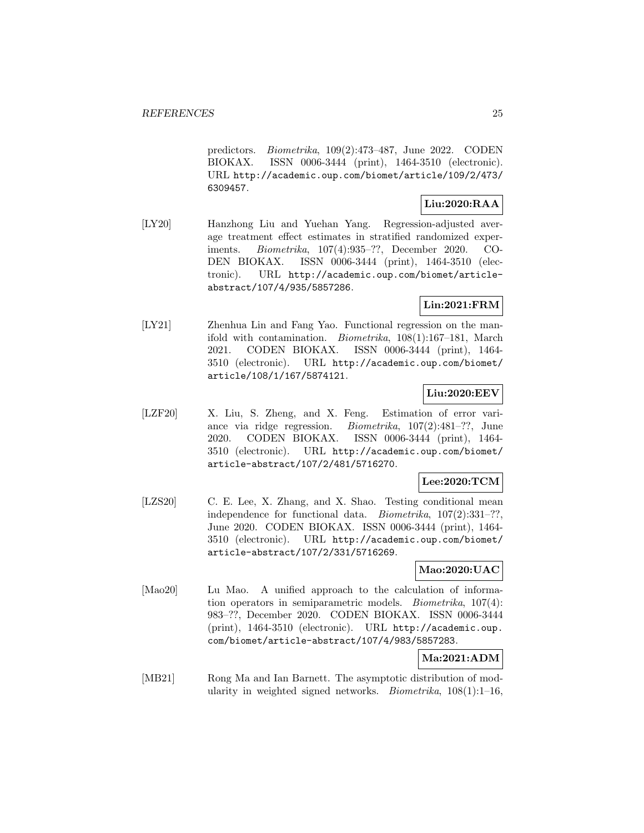predictors. Biometrika, 109(2):473–487, June 2022. CODEN BIOKAX. ISSN 0006-3444 (print), 1464-3510 (electronic). URL http://academic.oup.com/biomet/article/109/2/473/ 6309457.

# **Liu:2020:RAA**

[LY20] Hanzhong Liu and Yuehan Yang. Regression-adjusted average treatment effect estimates in stratified randomized experiments. Biometrika, 107(4):935–??, December 2020. CO-DEN BIOKAX. ISSN 0006-3444 (print), 1464-3510 (electronic). URL http://academic.oup.com/biomet/articleabstract/107/4/935/5857286.

# **Lin:2021:FRM**

[LY21] Zhenhua Lin and Fang Yao. Functional regression on the manifold with contamination. Biometrika, 108(1):167–181, March 2021. CODEN BIOKAX. ISSN 0006-3444 (print), 1464- 3510 (electronic). URL http://academic.oup.com/biomet/ article/108/1/167/5874121.

# **Liu:2020:EEV**

[LZF20] X. Liu, S. Zheng, and X. Feng. Estimation of error variance via ridge regression. Biometrika, 107(2):481–??, June 2020. CODEN BIOKAX. ISSN 0006-3444 (print), 1464- 3510 (electronic). URL http://academic.oup.com/biomet/ article-abstract/107/2/481/5716270.

#### **Lee:2020:TCM**

[LZS20] C. E. Lee, X. Zhang, and X. Shao. Testing conditional mean independence for functional data. Biometrika, 107(2):331–??, June 2020. CODEN BIOKAX. ISSN 0006-3444 (print), 1464- 3510 (electronic). URL http://academic.oup.com/biomet/ article-abstract/107/2/331/5716269.

### **Mao:2020:UAC**

[Mao20] Lu Mao. A unified approach to the calculation of information operators in semiparametric models. Biometrika, 107(4): 983–??, December 2020. CODEN BIOKAX. ISSN 0006-3444 (print), 1464-3510 (electronic). URL http://academic.oup. com/biomet/article-abstract/107/4/983/5857283.

# **Ma:2021:ADM**

[MB21] Rong Ma and Ian Barnett. The asymptotic distribution of modularity in weighted signed networks. *Biometrika*,  $108(1)$ :1-16,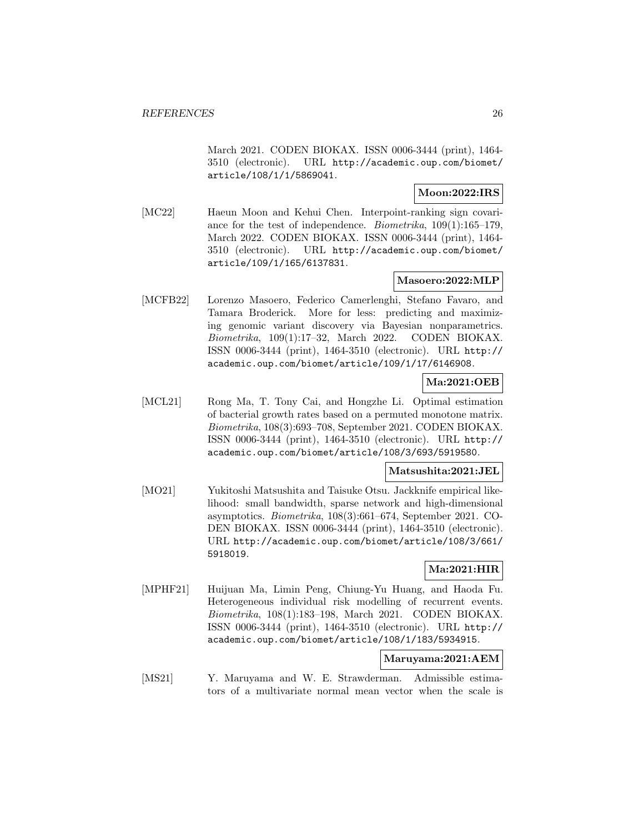March 2021. CODEN BIOKAX. ISSN 0006-3444 (print), 1464- 3510 (electronic). URL http://academic.oup.com/biomet/ article/108/1/1/5869041.

#### **Moon:2022:IRS**

[MC22] Haeun Moon and Kehui Chen. Interpoint-ranking sign covariance for the test of independence. Biometrika, 109(1):165–179, March 2022. CODEN BIOKAX. ISSN 0006-3444 (print), 1464- 3510 (electronic). URL http://academic.oup.com/biomet/ article/109/1/165/6137831.

# **Masoero:2022:MLP**

[MCFB22] Lorenzo Masoero, Federico Camerlenghi, Stefano Favaro, and Tamara Broderick. More for less: predicting and maximizing genomic variant discovery via Bayesian nonparametrics. Biometrika, 109(1):17–32, March 2022. CODEN BIOKAX. ISSN 0006-3444 (print), 1464-3510 (electronic). URL http:// academic.oup.com/biomet/article/109/1/17/6146908.

# **Ma:2021:OEB**

[MCL21] Rong Ma, T. Tony Cai, and Hongzhe Li. Optimal estimation of bacterial growth rates based on a permuted monotone matrix. Biometrika, 108(3):693–708, September 2021. CODEN BIOKAX. ISSN 0006-3444 (print), 1464-3510 (electronic). URL http:// academic.oup.com/biomet/article/108/3/693/5919580.

#### **Matsushita:2021:JEL**

[MO21] Yukitoshi Matsushita and Taisuke Otsu. Jackknife empirical likelihood: small bandwidth, sparse network and high-dimensional asymptotics. Biometrika, 108(3):661–674, September 2021. CO-DEN BIOKAX. ISSN 0006-3444 (print), 1464-3510 (electronic). URL http://academic.oup.com/biomet/article/108/3/661/ 5918019.

#### **Ma:2021:HIR**

[MPHF21] Huijuan Ma, Limin Peng, Chiung-Yu Huang, and Haoda Fu. Heterogeneous individual risk modelling of recurrent events. Biometrika, 108(1):183–198, March 2021. CODEN BIOKAX. ISSN 0006-3444 (print), 1464-3510 (electronic). URL http:// academic.oup.com/biomet/article/108/1/183/5934915.

### **Maruyama:2021:AEM**

[MS21] Y. Maruyama and W. E. Strawderman. Admissible estimators of a multivariate normal mean vector when the scale is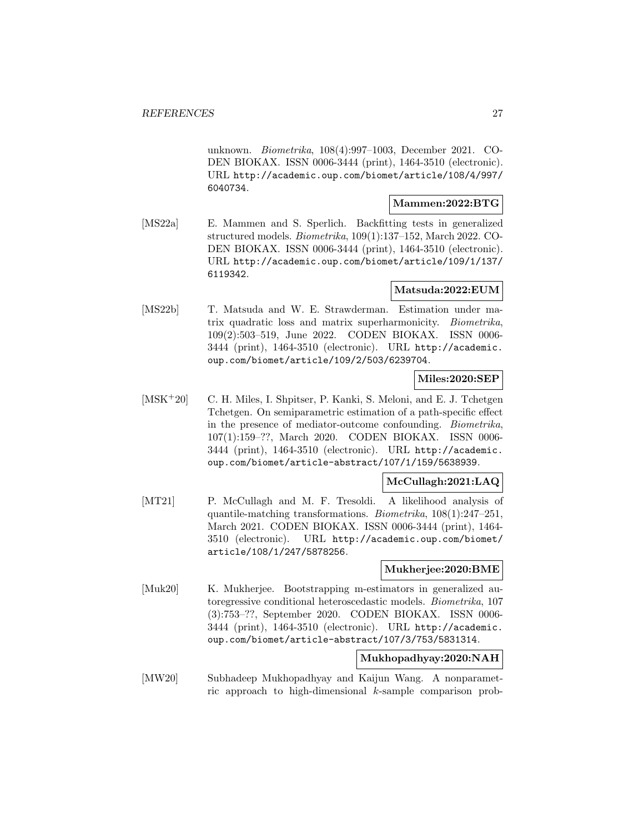unknown. Biometrika, 108(4):997–1003, December 2021. CO-DEN BIOKAX. ISSN 0006-3444 (print), 1464-3510 (electronic). URL http://academic.oup.com/biomet/article/108/4/997/ 6040734.

#### **Mammen:2022:BTG**

[MS22a] E. Mammen and S. Sperlich. Backfitting tests in generalized structured models. Biometrika, 109(1):137–152, March 2022. CO-DEN BIOKAX. ISSN 0006-3444 (print), 1464-3510 (electronic). URL http://academic.oup.com/biomet/article/109/1/137/ 6119342.

#### **Matsuda:2022:EUM**

[MS22b] T. Matsuda and W. E. Strawderman. Estimation under matrix quadratic loss and matrix superharmonicity. Biometrika, 109(2):503–519, June 2022. CODEN BIOKAX. ISSN 0006- 3444 (print), 1464-3510 (electronic). URL http://academic. oup.com/biomet/article/109/2/503/6239704.

# **Miles:2020:SEP**

[MSK<sup>+</sup>20] C. H. Miles, I. Shpitser, P. Kanki, S. Meloni, and E. J. Tchetgen Tchetgen. On semiparametric estimation of a path-specific effect in the presence of mediator-outcome confounding. Biometrika, 107(1):159–??, March 2020. CODEN BIOKAX. ISSN 0006- 3444 (print), 1464-3510 (electronic). URL http://academic. oup.com/biomet/article-abstract/107/1/159/5638939.

#### **McCullagh:2021:LAQ**

[MT21] P. McCullagh and M. F. Tresoldi. A likelihood analysis of quantile-matching transformations. Biometrika, 108(1):247–251, March 2021. CODEN BIOKAX. ISSN 0006-3444 (print), 1464- 3510 (electronic). URL http://academic.oup.com/biomet/ article/108/1/247/5878256.

#### **Mukherjee:2020:BME**

[Muk20] K. Mukherjee. Bootstrapping m-estimators in generalized autoregressive conditional heteroscedastic models. Biometrika, 107 (3):753–??, September 2020. CODEN BIOKAX. ISSN 0006- 3444 (print), 1464-3510 (electronic). URL http://academic. oup.com/biomet/article-abstract/107/3/753/5831314.

#### **Mukhopadhyay:2020:NAH**

[MW20] Subhadeep Mukhopadhyay and Kaijun Wang. A nonparametric approach to high-dimensional k-sample comparison prob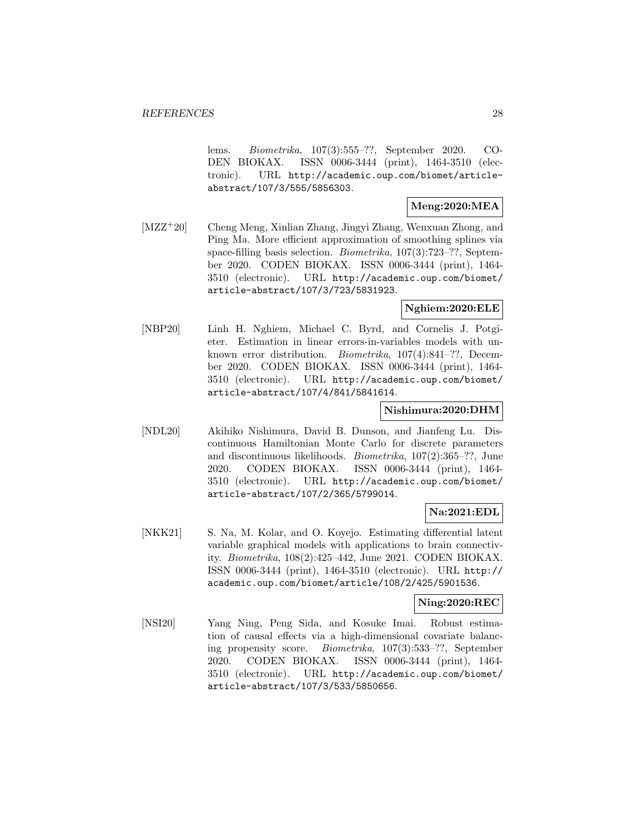lems. Biometrika, 107(3):555–??, September 2020. CO-DEN BIOKAX. ISSN 0006-3444 (print), 1464-3510 (electronic). URL http://academic.oup.com/biomet/articleabstract/107/3/555/5856303.

#### **Meng:2020:MEA**

[MZZ<sup>+</sup>20] Cheng Meng, Xinlian Zhang, Jingyi Zhang, Wenxuan Zhong, and Ping Ma. More efficient approximation of smoothing splines via space-filling basis selection. Biometrika, 107(3):723–??, September 2020. CODEN BIOKAX. ISSN 0006-3444 (print), 1464- 3510 (electronic). URL http://academic.oup.com/biomet/ article-abstract/107/3/723/5831923.

#### **Nghiem:2020:ELE**

[NBP20] Linh H. Nghiem, Michael C. Byrd, and Cornelis J. Potgieter. Estimation in linear errors-in-variables models with unknown error distribution. Biometrika, 107(4):841–??, December 2020. CODEN BIOKAX. ISSN 0006-3444 (print), 1464- 3510 (electronic). URL http://academic.oup.com/biomet/ article-abstract/107/4/841/5841614.

#### **Nishimura:2020:DHM**

[NDL20] Akihiko Nishimura, David B. Dunson, and Jianfeng Lu. Discontinuous Hamiltonian Monte Carlo for discrete parameters and discontinuous likelihoods. Biometrika, 107(2):365–??, June 2020. CODEN BIOKAX. ISSN 0006-3444 (print), 1464- 3510 (electronic). URL http://academic.oup.com/biomet/ article-abstract/107/2/365/5799014.

#### **Na:2021:EDL**

[NKK21] S. Na, M. Kolar, and O. Koyejo. Estimating differential latent variable graphical models with applications to brain connectivity. Biometrika, 108(2):425–442, June 2021. CODEN BIOKAX. ISSN 0006-3444 (print), 1464-3510 (electronic). URL http:// academic.oup.com/biomet/article/108/2/425/5901536.

#### **Ning:2020:REC**

[NSI20] Yang Ning, Peng Sida, and Kosuke Imai. Robust estimation of causal effects via a high-dimensional covariate balancing propensity score. Biometrika, 107(3):533–??, September 2020. CODEN BIOKAX. ISSN 0006-3444 (print), 1464- 3510 (electronic). URL http://academic.oup.com/biomet/ article-abstract/107/3/533/5850656.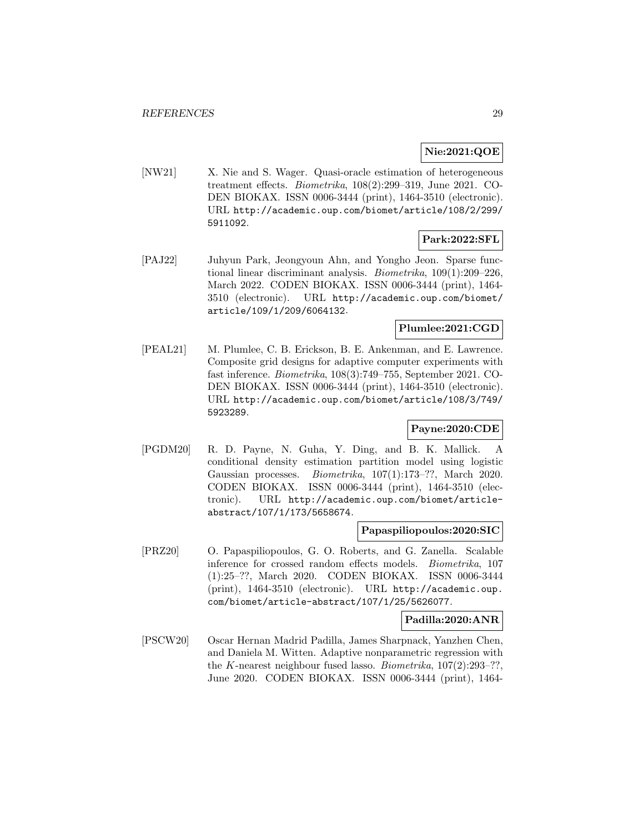### **Nie:2021:QOE**

[NW21] X. Nie and S. Wager. Quasi-oracle estimation of heterogeneous treatment effects. Biometrika, 108(2):299–319, June 2021. CO-DEN BIOKAX. ISSN 0006-3444 (print), 1464-3510 (electronic). URL http://academic.oup.com/biomet/article/108/2/299/ 5911092.

#### **Park:2022:SFL**

[PAJ22] Juhyun Park, Jeongyoun Ahn, and Yongho Jeon. Sparse functional linear discriminant analysis. Biometrika, 109(1):209–226, March 2022. CODEN BIOKAX. ISSN 0006-3444 (print), 1464- 3510 (electronic). URL http://academic.oup.com/biomet/ article/109/1/209/6064132.

#### **Plumlee:2021:CGD**

[PEAL21] M. Plumlee, C. B. Erickson, B. E. Ankenman, and E. Lawrence. Composite grid designs for adaptive computer experiments with fast inference. Biometrika, 108(3):749–755, September 2021. CO-DEN BIOKAX. ISSN 0006-3444 (print), 1464-3510 (electronic). URL http://academic.oup.com/biomet/article/108/3/749/ 5923289.

### **Payne:2020:CDE**

[PGDM20] R. D. Payne, N. Guha, Y. Ding, and B. K. Mallick. A conditional density estimation partition model using logistic Gaussian processes. Biometrika, 107(1):173–??, March 2020. CODEN BIOKAX. ISSN 0006-3444 (print), 1464-3510 (electronic). URL http://academic.oup.com/biomet/articleabstract/107/1/173/5658674.

#### **Papaspiliopoulos:2020:SIC**

[PRZ20] O. Papaspiliopoulos, G. O. Roberts, and G. Zanella. Scalable inference for crossed random effects models. Biometrika, 107 (1):25–??, March 2020. CODEN BIOKAX. ISSN 0006-3444 (print), 1464-3510 (electronic). URL http://academic.oup. com/biomet/article-abstract/107/1/25/5626077.

#### **Padilla:2020:ANR**

[PSCW20] Oscar Hernan Madrid Padilla, James Sharpnack, Yanzhen Chen, and Daniela M. Witten. Adaptive nonparametric regression with the K-nearest neighbour fused lasso. *Biometrika*,  $107(2):293-??$ , June 2020. CODEN BIOKAX. ISSN 0006-3444 (print), 1464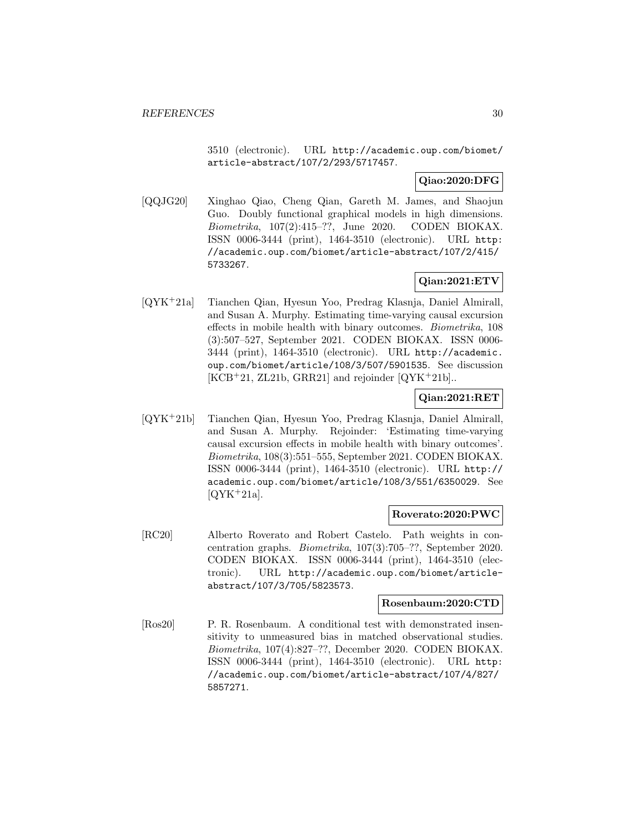3510 (electronic). URL http://academic.oup.com/biomet/ article-abstract/107/2/293/5717457.

#### **Qiao:2020:DFG**

[QQJG20] Xinghao Qiao, Cheng Qian, Gareth M. James, and Shaojun Guo. Doubly functional graphical models in high dimensions. Biometrika, 107(2):415–??, June 2020. CODEN BIOKAX. ISSN 0006-3444 (print), 1464-3510 (electronic). URL http: //academic.oup.com/biomet/article-abstract/107/2/415/ 5733267.

# **Qian:2021:ETV**

[QYK<sup>+</sup>21a] Tianchen Qian, Hyesun Yoo, Predrag Klasnja, Daniel Almirall, and Susan A. Murphy. Estimating time-varying causal excursion effects in mobile health with binary outcomes. Biometrika, 108 (3):507–527, September 2021. CODEN BIOKAX. ISSN 0006- 3444 (print), 1464-3510 (electronic). URL http://academic. oup.com/biomet/article/108/3/507/5901535. See discussion  $[KCB+21, ZL21b, \text{GRR}21]$  and rejoinder  $[QYK+21b]$ .

### **Qian:2021:RET**

[QYK<sup>+</sup>21b] Tianchen Qian, Hyesun Yoo, Predrag Klasnja, Daniel Almirall, and Susan A. Murphy. Rejoinder: 'Estimating time-varying causal excursion effects in mobile health with binary outcomes'. Biometrika, 108(3):551–555, September 2021. CODEN BIOKAX. ISSN 0006-3444 (print), 1464-3510 (electronic). URL http:// academic.oup.com/biomet/article/108/3/551/6350029. See  $[QYK+21a]$ .

#### **Roverato:2020:PWC**

[RC20] Alberto Roverato and Robert Castelo. Path weights in concentration graphs. Biometrika, 107(3):705–??, September 2020. CODEN BIOKAX. ISSN 0006-3444 (print), 1464-3510 (electronic). URL http://academic.oup.com/biomet/articleabstract/107/3/705/5823573.

#### **Rosenbaum:2020:CTD**

[Ros20] P. R. Rosenbaum. A conditional test with demonstrated insensitivity to unmeasured bias in matched observational studies. Biometrika, 107(4):827–??, December 2020. CODEN BIOKAX. ISSN 0006-3444 (print), 1464-3510 (electronic). URL http: //academic.oup.com/biomet/article-abstract/107/4/827/ 5857271.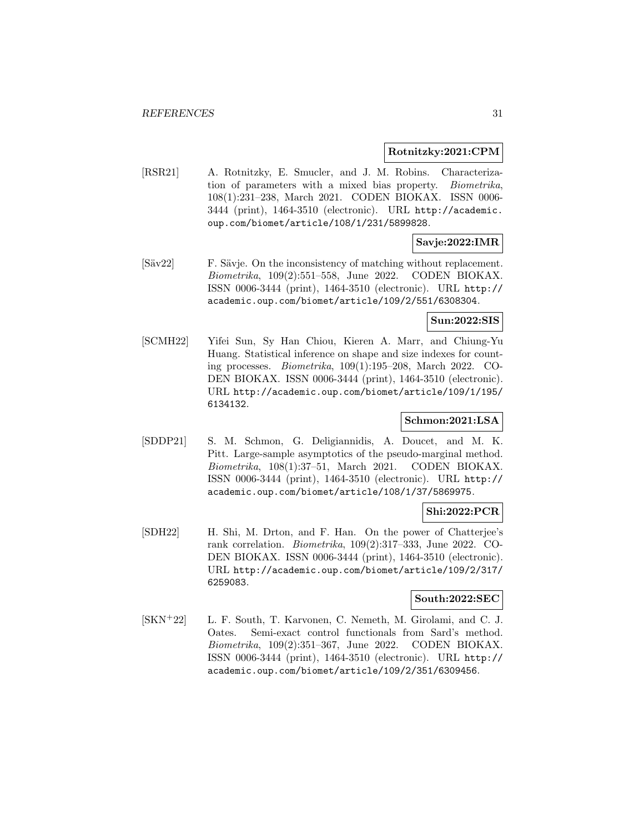#### **Rotnitzky:2021:CPM**

[RSR21] A. Rotnitzky, E. Smucler, and J. M. Robins. Characterization of parameters with a mixed bias property. Biometrika, 108(1):231–238, March 2021. CODEN BIOKAX. ISSN 0006- 3444 (print), 1464-3510 (electronic). URL http://academic. oup.com/biomet/article/108/1/231/5899828.

### **Savje:2022:IMR**

[Säv22] F. Sävje. On the inconsistency of matching without replacement. Biometrika, 109(2):551–558, June 2022. CODEN BIOKAX. ISSN 0006-3444 (print), 1464-3510 (electronic). URL http:// academic.oup.com/biomet/article/109/2/551/6308304.

#### **Sun:2022:SIS**

[SCMH22] Yifei Sun, Sy Han Chiou, Kieren A. Marr, and Chiung-Yu Huang. Statistical inference on shape and size indexes for counting processes. Biometrika, 109(1):195–208, March 2022. CO-DEN BIOKAX. ISSN 0006-3444 (print), 1464-3510 (electronic). URL http://academic.oup.com/biomet/article/109/1/195/ 6134132.

#### **Schmon:2021:LSA**

[SDDP21] S. M. Schmon, G. Deligiannidis, A. Doucet, and M. K. Pitt. Large-sample asymptotics of the pseudo-marginal method. Biometrika, 108(1):37–51, March 2021. CODEN BIOKAX. ISSN 0006-3444 (print), 1464-3510 (electronic). URL http:// academic.oup.com/biomet/article/108/1/37/5869975.

#### **Shi:2022:PCR**

[SDH22] H. Shi, M. Drton, and F. Han. On the power of Chatterjee's rank correlation. Biometrika, 109(2):317–333, June 2022. CO-DEN BIOKAX. ISSN 0006-3444 (print), 1464-3510 (electronic). URL http://academic.oup.com/biomet/article/109/2/317/ 6259083.

#### **South:2022:SEC**

[SKN<sup>+</sup>22] L. F. South, T. Karvonen, C. Nemeth, M. Girolami, and C. J. Oates. Semi-exact control functionals from Sard's method. Biometrika, 109(2):351–367, June 2022. CODEN BIOKAX. ISSN 0006-3444 (print), 1464-3510 (electronic). URL http:// academic.oup.com/biomet/article/109/2/351/6309456.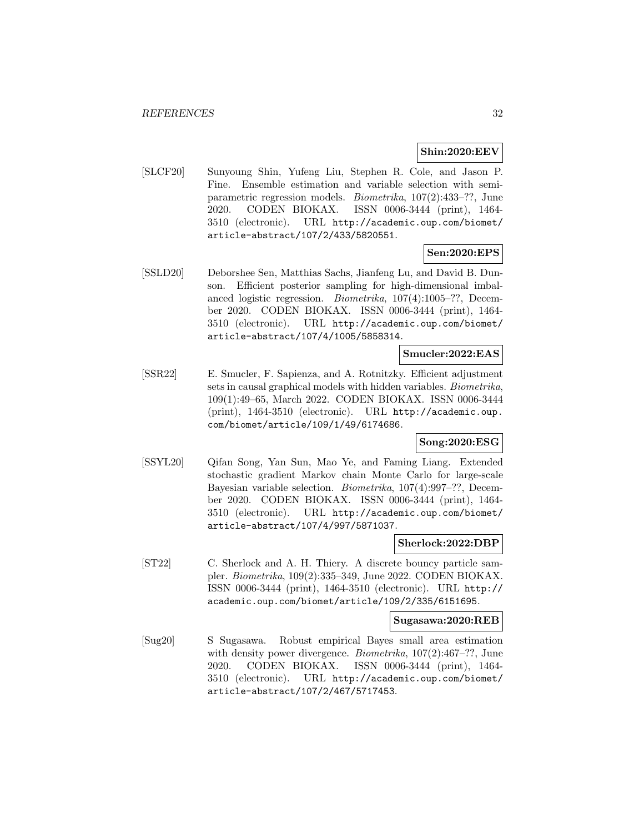#### **Shin:2020:EEV**

[SLCF20] Sunyoung Shin, Yufeng Liu, Stephen R. Cole, and Jason P. Fine. Ensemble estimation and variable selection with semiparametric regression models. Biometrika, 107(2):433–??, June 2020. CODEN BIOKAX. ISSN 0006-3444 (print), 1464- 3510 (electronic). URL http://academic.oup.com/biomet/ article-abstract/107/2/433/5820551.

### **Sen:2020:EPS**

[SSLD20] Deborshee Sen, Matthias Sachs, Jianfeng Lu, and David B. Dunson. Efficient posterior sampling for high-dimensional imbalanced logistic regression. Biometrika, 107(4):1005–??, December 2020. CODEN BIOKAX. ISSN 0006-3444 (print), 1464- 3510 (electronic). URL http://academic.oup.com/biomet/ article-abstract/107/4/1005/5858314.

#### **Smucler:2022:EAS**

[SSR22] E. Smucler, F. Sapienza, and A. Rotnitzky. Efficient adjustment sets in causal graphical models with hidden variables. Biometrika, 109(1):49–65, March 2022. CODEN BIOKAX. ISSN 0006-3444 (print), 1464-3510 (electronic). URL http://academic.oup. com/biomet/article/109/1/49/6174686.

#### **Song:2020:ESG**

[SSYL20] Qifan Song, Yan Sun, Mao Ye, and Faming Liang. Extended stochastic gradient Markov chain Monte Carlo for large-scale Bayesian variable selection. Biometrika, 107(4):997–??, December 2020. CODEN BIOKAX. ISSN 0006-3444 (print), 1464- 3510 (electronic). URL http://academic.oup.com/biomet/ article-abstract/107/4/997/5871037.

#### **Sherlock:2022:DBP**

[ST22] C. Sherlock and A. H. Thiery. A discrete bouncy particle sampler. Biometrika, 109(2):335–349, June 2022. CODEN BIOKAX. ISSN 0006-3444 (print), 1464-3510 (electronic). URL http:// academic.oup.com/biomet/article/109/2/335/6151695.

#### **Sugasawa:2020:REB**

[Sug20] S Sugasawa. Robust empirical Bayes small area estimation with density power divergence. *Biometrika*,  $107(2):467-$ ??, June 2020. CODEN BIOKAX. ISSN 0006-3444 (print), 1464- 3510 (electronic). URL http://academic.oup.com/biomet/ article-abstract/107/2/467/5717453.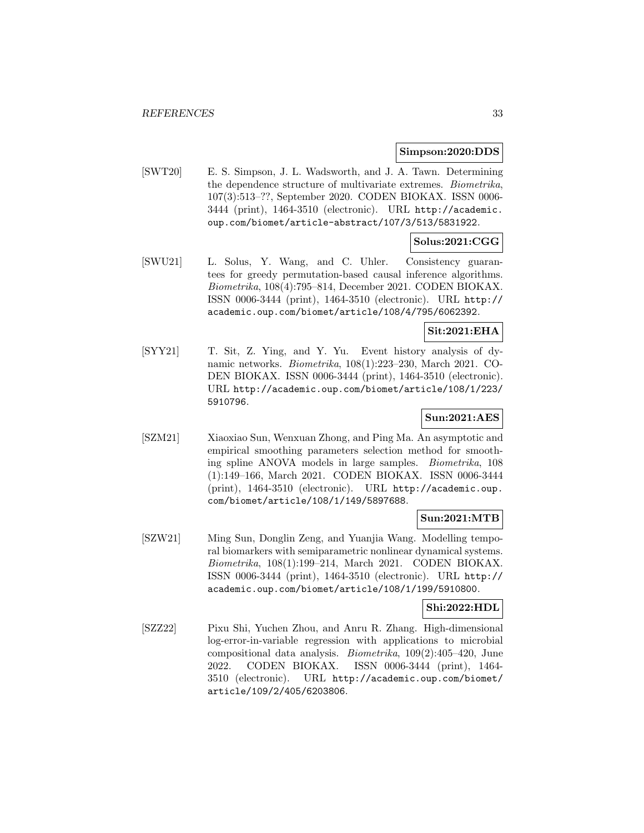#### **Simpson:2020:DDS**

[SWT20] E. S. Simpson, J. L. Wadsworth, and J. A. Tawn. Determining the dependence structure of multivariate extremes. Biometrika, 107(3):513–??, September 2020. CODEN BIOKAX. ISSN 0006- 3444 (print), 1464-3510 (electronic). URL http://academic. oup.com/biomet/article-abstract/107/3/513/5831922.

# **Solus:2021:CGG**

[SWU21] L. Solus, Y. Wang, and C. Uhler. Consistency guarantees for greedy permutation-based causal inference algorithms. Biometrika, 108(4):795–814, December 2021. CODEN BIOKAX. ISSN 0006-3444 (print), 1464-3510 (electronic). URL http:// academic.oup.com/biomet/article/108/4/795/6062392.

# **Sit:2021:EHA**

[SYY21] T. Sit, Z. Ying, and Y. Yu. Event history analysis of dynamic networks. Biometrika, 108(1):223–230, March 2021. CO-DEN BIOKAX. ISSN 0006-3444 (print), 1464-3510 (electronic). URL http://academic.oup.com/biomet/article/108/1/223/ 5910796.

### **Sun:2021:AES**

[SZM21] Xiaoxiao Sun, Wenxuan Zhong, and Ping Ma. An asymptotic and empirical smoothing parameters selection method for smoothing spline ANOVA models in large samples. Biometrika, 108 (1):149–166, March 2021. CODEN BIOKAX. ISSN 0006-3444 (print), 1464-3510 (electronic). URL http://academic.oup. com/biomet/article/108/1/149/5897688.

### **Sun:2021:MTB**

[SZW21] Ming Sun, Donglin Zeng, and Yuanjia Wang. Modelling temporal biomarkers with semiparametric nonlinear dynamical systems. Biometrika, 108(1):199–214, March 2021. CODEN BIOKAX. ISSN 0006-3444 (print), 1464-3510 (electronic). URL http:// academic.oup.com/biomet/article/108/1/199/5910800.

#### **Shi:2022:HDL**

[SZZ22] Pixu Shi, Yuchen Zhou, and Anru R. Zhang. High-dimensional log-error-in-variable regression with applications to microbial compositional data analysis. Biometrika, 109(2):405–420, June 2022. CODEN BIOKAX. ISSN 0006-3444 (print), 1464- 3510 (electronic). URL http://academic.oup.com/biomet/ article/109/2/405/6203806.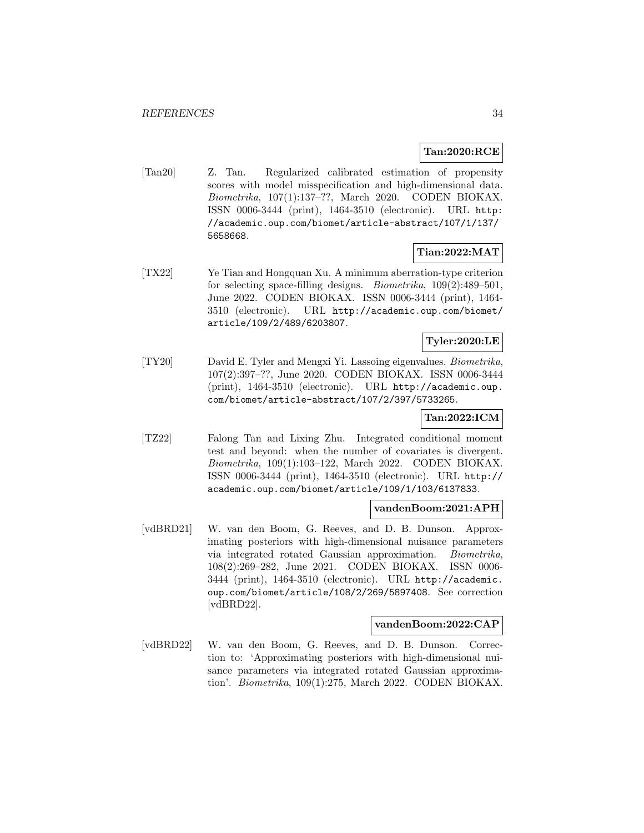#### **Tan:2020:RCE**

[Tan20] Z. Tan. Regularized calibrated estimation of propensity scores with model misspecification and high-dimensional data. Biometrika, 107(1):137–??, March 2020. CODEN BIOKAX. ISSN 0006-3444 (print), 1464-3510 (electronic). URL http: //academic.oup.com/biomet/article-abstract/107/1/137/ 5658668.

# **Tian:2022:MAT**

[TX22] Ye Tian and Hongquan Xu. A minimum aberration-type criterion for selecting space-filling designs. Biometrika, 109(2):489–501, June 2022. CODEN BIOKAX. ISSN 0006-3444 (print), 1464- 3510 (electronic). URL http://academic.oup.com/biomet/ article/109/2/489/6203807.

# **Tyler:2020:LE**

[TY20] David E. Tyler and Mengxi Yi. Lassoing eigenvalues. Biometrika, 107(2):397–??, June 2020. CODEN BIOKAX. ISSN 0006-3444 (print), 1464-3510 (electronic). URL http://academic.oup. com/biomet/article-abstract/107/2/397/5733265.

# **Tan:2022:ICM**

[TZ22] Falong Tan and Lixing Zhu. Integrated conditional moment test and beyond: when the number of covariates is divergent. Biometrika, 109(1):103–122, March 2022. CODEN BIOKAX. ISSN 0006-3444 (print), 1464-3510 (electronic). URL http:// academic.oup.com/biomet/article/109/1/103/6137833.

#### **vandenBoom:2021:APH**

[vdBRD21] W. van den Boom, G. Reeves, and D. B. Dunson. Approximating posteriors with high-dimensional nuisance parameters via integrated rotated Gaussian approximation. Biometrika, 108(2):269–282, June 2021. CODEN BIOKAX. ISSN 0006- 3444 (print), 1464-3510 (electronic). URL http://academic. oup.com/biomet/article/108/2/269/5897408. See correction [vdBRD22].

#### **vandenBoom:2022:CAP**

[vdBRD22] W. van den Boom, G. Reeves, and D. B. Dunson. Correction to: 'Approximating posteriors with high-dimensional nuisance parameters via integrated rotated Gaussian approximation'. Biometrika, 109(1):275, March 2022. CODEN BIOKAX.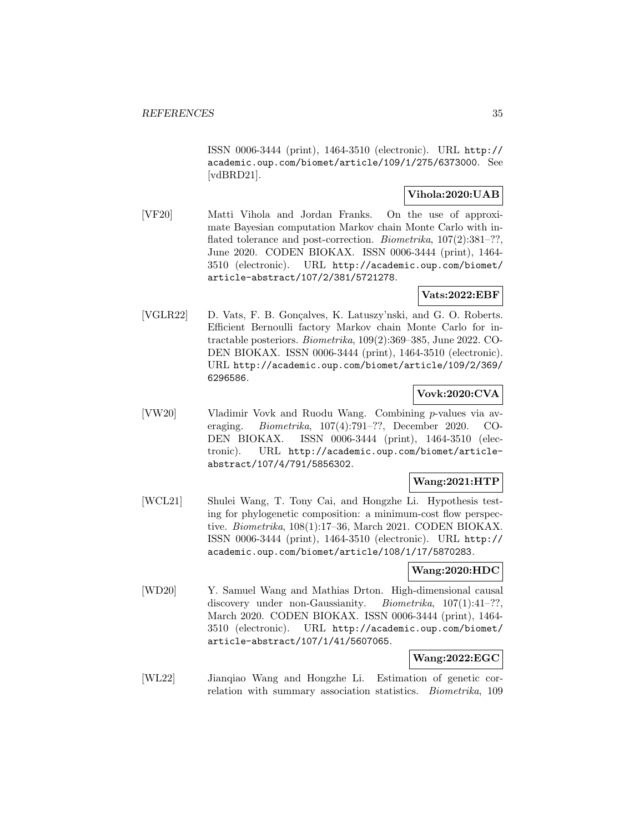ISSN 0006-3444 (print), 1464-3510 (electronic). URL http:// academic.oup.com/biomet/article/109/1/275/6373000. See [vdBRD21].

#### **Vihola:2020:UAB**

[VF20] Matti Vihola and Jordan Franks. On the use of approximate Bayesian computation Markov chain Monte Carlo with inflated tolerance and post-correction. *Biometrika*,  $107(2):381-$ ??, June 2020. CODEN BIOKAX. ISSN 0006-3444 (print), 1464- 3510 (electronic). URL http://academic.oup.com/biomet/ article-abstract/107/2/381/5721278.

# **Vats:2022:EBF**

[VGLR22] D. Vats, F. B. Gon¸calves, K. Latuszy'nski, and G. O. Roberts. Efficient Bernoulli factory Markov chain Monte Carlo for intractable posteriors. Biometrika, 109(2):369–385, June 2022. CO-DEN BIOKAX. ISSN 0006-3444 (print), 1464-3510 (electronic). URL http://academic.oup.com/biomet/article/109/2/369/ 6296586.

### **Vovk:2020:CVA**

[VW20] Vladimir Vovk and Ruodu Wang. Combining p-values via averaging. Biometrika, 107(4):791–??, December 2020. CO-DEN BIOKAX. ISSN 0006-3444 (print), 1464-3510 (electronic). URL http://academic.oup.com/biomet/articleabstract/107/4/791/5856302.

# **Wang:2021:HTP**

[WCL21] Shulei Wang, T. Tony Cai, and Hongzhe Li. Hypothesis testing for phylogenetic composition: a minimum-cost flow perspective. Biometrika, 108(1):17–36, March 2021. CODEN BIOKAX. ISSN 0006-3444 (print), 1464-3510 (electronic). URL http:// academic.oup.com/biomet/article/108/1/17/5870283.

#### **Wang:2020:HDC**

[WD20] Y. Samuel Wang and Mathias Drton. High-dimensional causal discovery under non-Gaussianity. *Biometrika*, 107(1):41-??, March 2020. CODEN BIOKAX. ISSN 0006-3444 (print), 1464- 3510 (electronic). URL http://academic.oup.com/biomet/ article-abstract/107/1/41/5607065.

### **Wang:2022:EGC**

[WL22] Jianqiao Wang and Hongzhe Li. Estimation of genetic correlation with summary association statistics. Biometrika, 109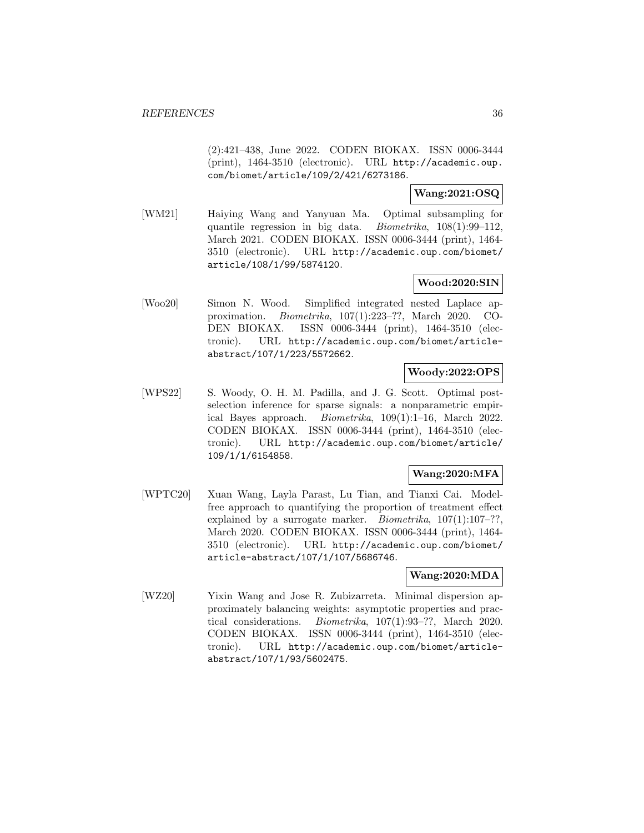(2):421–438, June 2022. CODEN BIOKAX. ISSN 0006-3444 (print), 1464-3510 (electronic). URL http://academic.oup. com/biomet/article/109/2/421/6273186.

#### **Wang:2021:OSQ**

[WM21] Haiying Wang and Yanyuan Ma. Optimal subsampling for quantile regression in big data. Biometrika, 108(1):99–112, March 2021. CODEN BIOKAX. ISSN 0006-3444 (print), 1464- 3510 (electronic). URL http://academic.oup.com/biomet/ article/108/1/99/5874120.

#### **Wood:2020:SIN**

[Woo20] Simon N. Wood. Simplified integrated nested Laplace approximation. Biometrika, 107(1):223–??, March 2020. CO-DEN BIOKAX. ISSN 0006-3444 (print), 1464-3510 (electronic). URL http://academic.oup.com/biomet/articleabstract/107/1/223/5572662.

#### **Woody:2022:OPS**

[WPS22] S. Woody, O. H. M. Padilla, and J. G. Scott. Optimal postselection inference for sparse signals: a nonparametric empirical Bayes approach. Biometrika, 109(1):1–16, March 2022. CODEN BIOKAX. ISSN 0006-3444 (print), 1464-3510 (electronic). URL http://academic.oup.com/biomet/article/ 109/1/1/6154858.

### **Wang:2020:MFA**

[WPTC20] Xuan Wang, Layla Parast, Lu Tian, and Tianxi Cai. Modelfree approach to quantifying the proportion of treatment effect explained by a surrogate marker. *Biometrika*,  $107(1):107-??$ , March 2020. CODEN BIOKAX. ISSN 0006-3444 (print), 1464- 3510 (electronic). URL http://academic.oup.com/biomet/ article-abstract/107/1/107/5686746.

### **Wang:2020:MDA**

[WZ20] Yixin Wang and Jose R. Zubizarreta. Minimal dispersion approximately balancing weights: asymptotic properties and practical considerations. Biometrika, 107(1):93–??, March 2020. CODEN BIOKAX. ISSN 0006-3444 (print), 1464-3510 (electronic). URL http://academic.oup.com/biomet/articleabstract/107/1/93/5602475.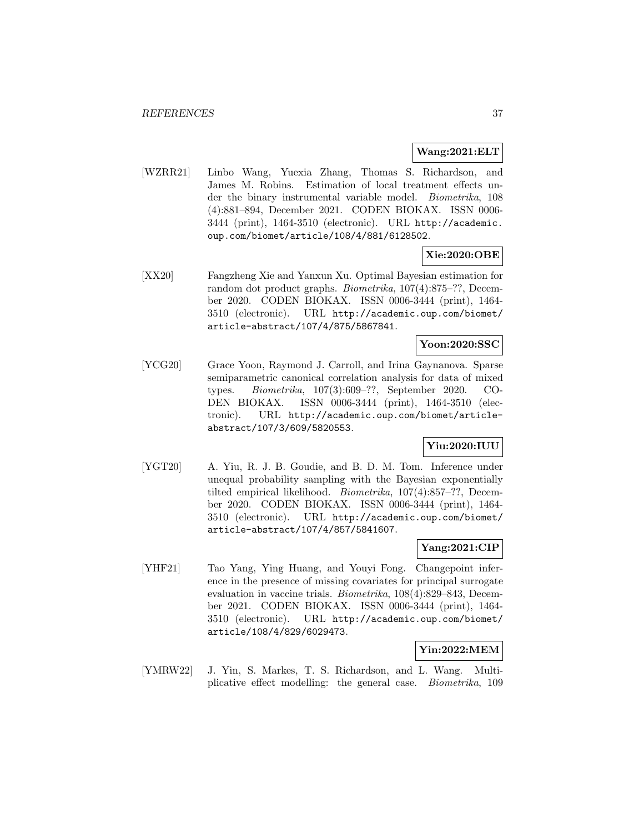#### **Wang:2021:ELT**

[WZRR21] Linbo Wang, Yuexia Zhang, Thomas S. Richardson, and James M. Robins. Estimation of local treatment effects under the binary instrumental variable model. Biometrika, 108 (4):881–894, December 2021. CODEN BIOKAX. ISSN 0006- 3444 (print), 1464-3510 (electronic). URL http://academic. oup.com/biomet/article/108/4/881/6128502.

#### **Xie:2020:OBE**

[XX20] Fangzheng Xie and Yanxun Xu. Optimal Bayesian estimation for random dot product graphs. Biometrika, 107(4):875–??, December 2020. CODEN BIOKAX. ISSN 0006-3444 (print), 1464- 3510 (electronic). URL http://academic.oup.com/biomet/ article-abstract/107/4/875/5867841.

#### **Yoon:2020:SSC**

[YCG20] Grace Yoon, Raymond J. Carroll, and Irina Gaynanova. Sparse semiparametric canonical correlation analysis for data of mixed types. Biometrika, 107(3):609–??, September 2020. CO-DEN BIOKAX. ISSN 0006-3444 (print), 1464-3510 (electronic). URL http://academic.oup.com/biomet/articleabstract/107/3/609/5820553.

#### **Yiu:2020:IUU**

[YGT20] A. Yiu, R. J. B. Goudie, and B. D. M. Tom. Inference under unequal probability sampling with the Bayesian exponentially tilted empirical likelihood. Biometrika, 107(4):857–??, December 2020. CODEN BIOKAX. ISSN 0006-3444 (print), 1464- 3510 (electronic). URL http://academic.oup.com/biomet/ article-abstract/107/4/857/5841607.

#### **Yang:2021:CIP**

[YHF21] Tao Yang, Ying Huang, and Youyi Fong. Changepoint inference in the presence of missing covariates for principal surrogate evaluation in vaccine trials. Biometrika, 108(4):829–843, December 2021. CODEN BIOKAX. ISSN 0006-3444 (print), 1464- 3510 (electronic). URL http://academic.oup.com/biomet/ article/108/4/829/6029473.

#### **Yin:2022:MEM**

[YMRW22] J. Yin, S. Markes, T. S. Richardson, and L. Wang. Multiplicative effect modelling: the general case. Biometrika, 109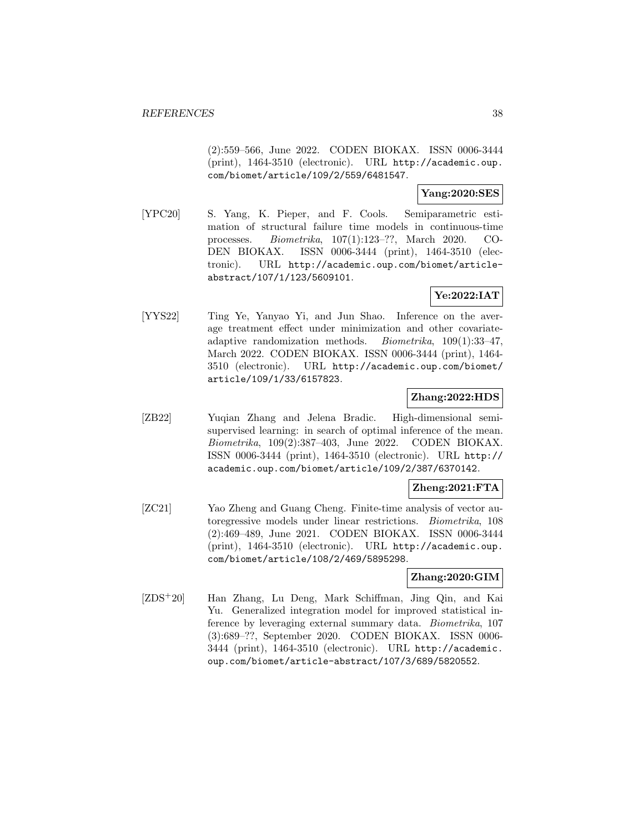(2):559–566, June 2022. CODEN BIOKAX. ISSN 0006-3444 (print), 1464-3510 (electronic). URL http://academic.oup. com/biomet/article/109/2/559/6481547.

#### **Yang:2020:SES**

[YPC20] S. Yang, K. Pieper, and F. Cools. Semiparametric estimation of structural failure time models in continuous-time processes. Biometrika, 107(1):123–??, March 2020. CO-DEN BIOKAX. ISSN 0006-3444 (print), 1464-3510 (electronic). URL http://academic.oup.com/biomet/articleabstract/107/1/123/5609101.

# **Ye:2022:IAT**

[YYS22] Ting Ye, Yanyao Yi, and Jun Shao. Inference on the average treatment effect under minimization and other covariateadaptive randomization methods. Biometrika, 109(1):33–47, March 2022. CODEN BIOKAX. ISSN 0006-3444 (print), 1464- 3510 (electronic). URL http://academic.oup.com/biomet/ article/109/1/33/6157823.

#### **Zhang:2022:HDS**

[ZB22] Yuqian Zhang and Jelena Bradic. High-dimensional semisupervised learning: in search of optimal inference of the mean. Biometrika, 109(2):387–403, June 2022. CODEN BIOKAX. ISSN 0006-3444 (print), 1464-3510 (electronic). URL http:// academic.oup.com/biomet/article/109/2/387/6370142.

### **Zheng:2021:FTA**

[ZC21] Yao Zheng and Guang Cheng. Finite-time analysis of vector autoregressive models under linear restrictions. Biometrika, 108 (2):469–489, June 2021. CODEN BIOKAX. ISSN 0006-3444 (print), 1464-3510 (electronic). URL http://academic.oup. com/biomet/article/108/2/469/5895298.

#### **Zhang:2020:GIM**

[ZDS<sup>+</sup>20] Han Zhang, Lu Deng, Mark Schiffman, Jing Qin, and Kai Yu. Generalized integration model for improved statistical inference by leveraging external summary data. Biometrika, 107 (3):689–??, September 2020. CODEN BIOKAX. ISSN 0006- 3444 (print), 1464-3510 (electronic). URL http://academic. oup.com/biomet/article-abstract/107/3/689/5820552.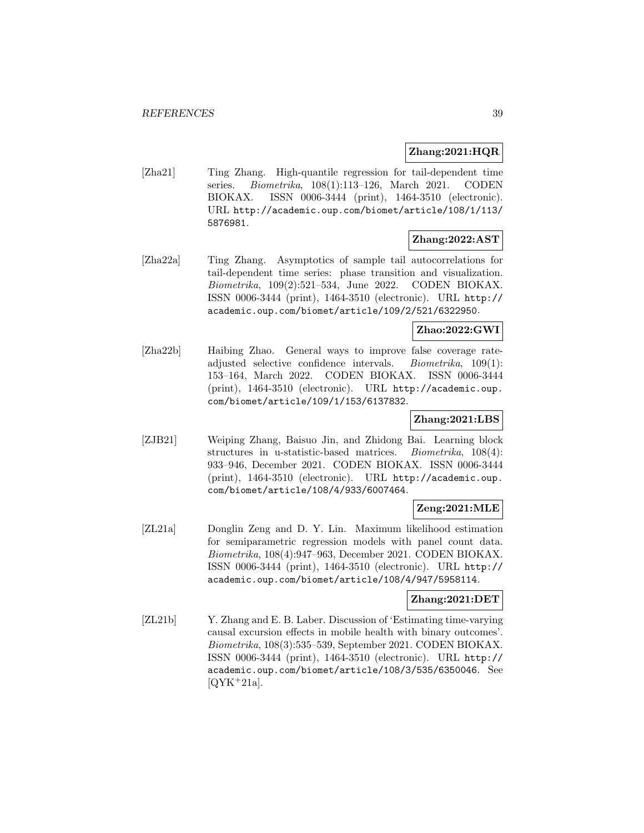#### **Zhang:2021:HQR**

[Zha21] Ting Zhang. High-quantile regression for tail-dependent time series. Biometrika, 108(1):113–126, March 2021. CODEN BIOKAX. ISSN 0006-3444 (print), 1464-3510 (electronic). URL http://academic.oup.com/biomet/article/108/1/113/ 5876981.

# **Zhang:2022:AST**

[Zha22a] Ting Zhang. Asymptotics of sample tail autocorrelations for tail-dependent time series: phase transition and visualization. Biometrika, 109(2):521–534, June 2022. CODEN BIOKAX. ISSN 0006-3444 (print), 1464-3510 (electronic). URL http:// academic.oup.com/biomet/article/109/2/521/6322950.

### **Zhao:2022:GWI**

[Zha22b] Haibing Zhao. General ways to improve false coverage rateadjusted selective confidence intervals. Biometrika, 109(1): 153–164, March 2022. CODEN BIOKAX. ISSN 0006-3444 (print), 1464-3510 (electronic). URL http://academic.oup. com/biomet/article/109/1/153/6137832.

#### **Zhang:2021:LBS**

[ZJB21] Weiping Zhang, Baisuo Jin, and Zhidong Bai. Learning block structures in u-statistic-based matrices. Biometrika, 108(4): 933–946, December 2021. CODEN BIOKAX. ISSN 0006-3444 (print), 1464-3510 (electronic). URL http://academic.oup. com/biomet/article/108/4/933/6007464.

#### **Zeng:2021:MLE**

[ZL21a] Donglin Zeng and D. Y. Lin. Maximum likelihood estimation for semiparametric regression models with panel count data. Biometrika, 108(4):947–963, December 2021. CODEN BIOKAX. ISSN 0006-3444 (print), 1464-3510 (electronic). URL http:// academic.oup.com/biomet/article/108/4/947/5958114.

#### **Zhang:2021:DET**

[ZL21b] Y. Zhang and E. B. Laber. Discussion of 'Estimating time-varying causal excursion effects in mobile health with binary outcomes'. Biometrika, 108(3):535–539, September 2021. CODEN BIOKAX. ISSN 0006-3444 (print), 1464-3510 (electronic). URL http:// academic.oup.com/biomet/article/108/3/535/6350046. See  $[QYK+21a]$ .